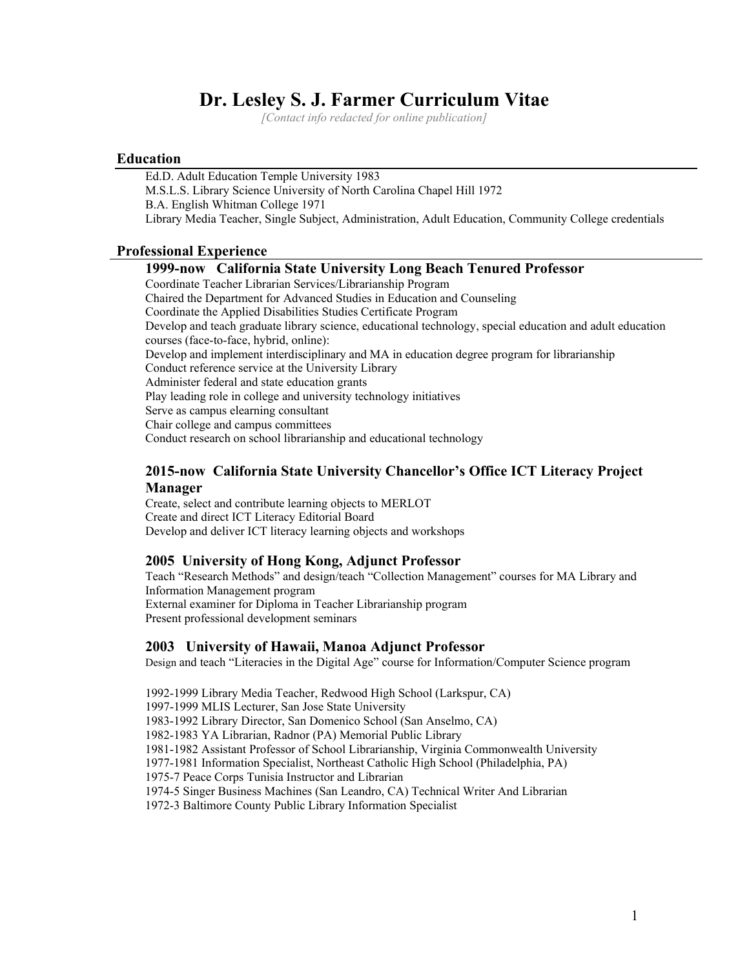# **Dr. Lesley S. J. Farmer Curriculum Vitae**

*[Contact info redacted for online publication]*

## **Education**

Ed.D. Adult Education Temple University 1983 M.S.L.S. Library Science University of North Carolina Chapel Hill 1972 B.A. English Whitman College 1971 Library Media Teacher, Single Subject, Administration, Adult Education, Community College credentials

## **Professional Experience**

## **1999-now California State University Long Beach Tenured Professor**

Coordinate Teacher Librarian Services/Librarianship Program Chaired the Department for Advanced Studies in Education and Counseling Coordinate the Applied Disabilities Studies Certificate Program Develop and teach graduate library science, educational technology, special education and adult education courses (face-to-face, hybrid, online): Develop and implement interdisciplinary and MA in education degree program for librarianship Conduct reference service at the University Library Administer federal and state education grants Play leading role in college and university technology initiatives Serve as campus elearning consultant Chair college and campus committees Conduct research on school librarianship and educational technology

## **2015-now California State University Chancellor's Office ICT Literacy Project Manager**

Create, select and contribute learning objects to MERLOT Create and direct ICT Literacy Editorial Board Develop and deliver ICT literacy learning objects and workshops

## **2005 University of Hong Kong, Adjunct Professor**

Teach "Research Methods" and design/teach "Collection Management" courses for MA Library and Information Management program External examiner for Diploma in Teacher Librarianship program Present professional development seminars

## **2003 University of Hawaii, Manoa Adjunct Professor**

Design and teach "Literacies in the Digital Age" course for Information/Computer Science program

1992-1999 Library Media Teacher, Redwood High School (Larkspur, CA) 1997-1999 MLIS Lecturer, San Jose State University 1983-1992 Library Director, San Domenico School (San Anselmo, CA) 1982-1983 YA Librarian, Radnor (PA) Memorial Public Library 1981-1982 Assistant Professor of School Librarianship, Virginia Commonwealth University 1977-1981 Information Specialist, Northeast Catholic High School (Philadelphia, PA) 1975-7 Peace Corps Tunisia Instructor and Librarian 1974-5 Singer Business Machines (San Leandro, CA) Technical Writer And Librarian 1972-3 Baltimore County Public Library Information Specialist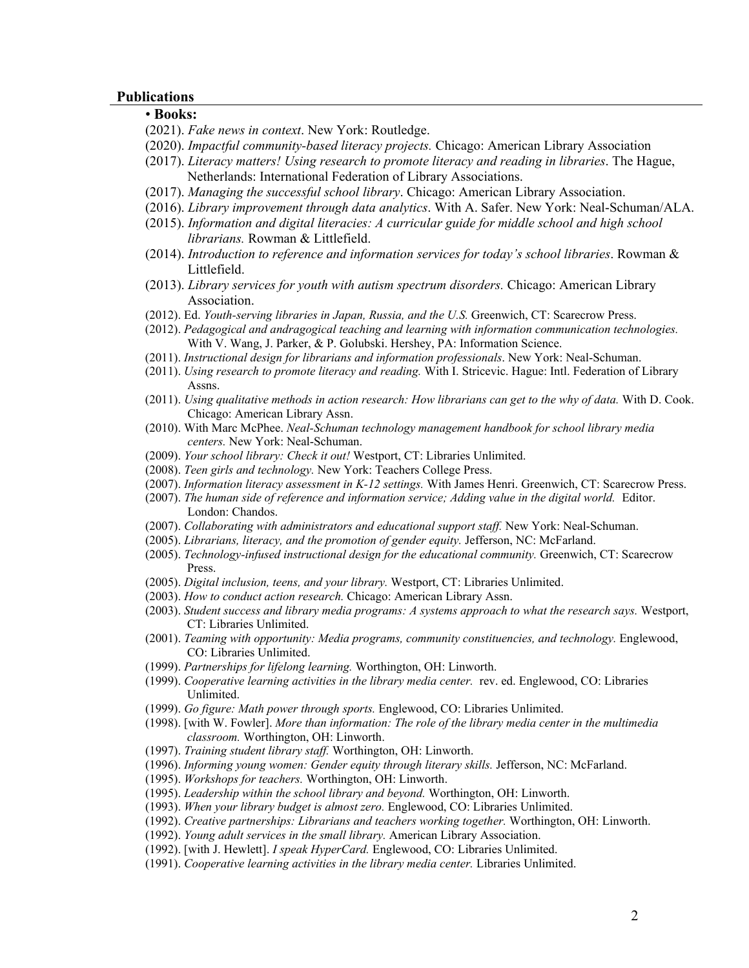#### **Publications**

# • **Books:**

- (2021). *Fake news in context*. New York: Routledge.
- (2020). *Impactful community-based literacy projects.* Chicago: American Library Association
- (2017). *Literacy matters! Using research to promote literacy and reading in libraries*. The Hague, Netherlands: International Federation of Library Associations.
- (2017). *Managing the successful school library*. Chicago: American Library Association.
- (2016). *Library improvement through data analytics*. With A. Safer. New York: Neal-Schuman/ALA.
- (2015). *Information and digital literacies: A curricular guide for middle school and high school librarians.* Rowman & Littlefield.
- (2014). *Introduction to reference and information services for today's school libraries*. Rowman & Littlefield.
- (2013). *Library services for youth with autism spectrum disorders.* Chicago: American Library Association.
- (2012). Ed. *Youth-serving libraries in Japan, Russia, and the U.S.* Greenwich, CT: Scarecrow Press.
- (2012). *Pedagogical and andragogical teaching and learning with information communication technologies.*  With V. Wang, J. Parker, & P. Golubski. Hershey, PA: Information Science.
- (2011). *Instructional design for librarians and information professionals*. New York: Neal-Schuman.
- (2011). *Using research to promote literacy and reading.* With I. Stricevic. Hague: Intl. Federation of Library Assns.
- (2011). *Using qualitative methods in action research: How librarians can get to the why of data.* With D. Cook. Chicago: American Library Assn.
- (2010). With Marc McPhee. *Neal-Schuman technology management handbook for school library media centers.* New York: Neal-Schuman.
- (2009). *Your school library: Check it out!* Westport, CT: Libraries Unlimited.
- (2008). *Teen girls and technology.* New York: Teachers College Press.
- (2007). *Information literacy assessment in K-12 settings.* With James Henri. Greenwich, CT: Scarecrow Press.
- (2007). *The human side of reference and information service; Adding value in the digital world.* Editor. London: Chandos.
- (2007). *Collaborating with administrators and educational support staff.* New York: Neal-Schuman.
- (2005). *Librarians, literacy, and the promotion of gender equity.* Jefferson, NC: McFarland.
- (2005). *Technology-infused instructional design for the educational community.* Greenwich, CT: Scarecrow Press.
- (2005). *Digital inclusion, teens, and your library.* Westport, CT: Libraries Unlimited.
- (2003). *How to conduct action research.* Chicago: American Library Assn.
- (2003). *Student success and library media programs: A systems approach to what the research says.* Westport, CT: Libraries Unlimited.
- (2001). *Teaming with opportunity: Media programs, community constituencies, and technology.* Englewood, CO: Libraries Unlimited.
- (1999). *Partnerships for lifelong learning.* Worthington, OH: Linworth.
- (1999). *Cooperative learning activities in the library media center.* rev. ed. Englewood, CO: Libraries Unlimited.
- (1999). *Go figure: Math power through sports.* Englewood, CO: Libraries Unlimited.
- (1998). [with W. Fowler]. *More than information: The role of the library media center in the multimedia classroom.* Worthington, OH: Linworth.
- (1997). *Training student library staff.* Worthington, OH: Linworth.
- (1996). *Informing young women: Gender equity through literary skills.* Jefferson, NC: McFarland.
- (1995). *Workshops for teachers.* Worthington, OH: Linworth.
- (1995). *Leadership within the school library and beyond.* Worthington, OH: Linworth.
- (1993). *When your library budget is almost zero.* Englewood, CO: Libraries Unlimited.
- (1992). *Creative partnerships: Librarians and teachers working together.* Worthington, OH: Linworth.
- (1992). *Young adult services in the small library.* American Library Association.
- (1992). [with J. Hewlett]. *I speak HyperCard.* Englewood, CO: Libraries Unlimited.
- (1991). *Cooperative learning activities in the library media center.* Libraries Unlimited.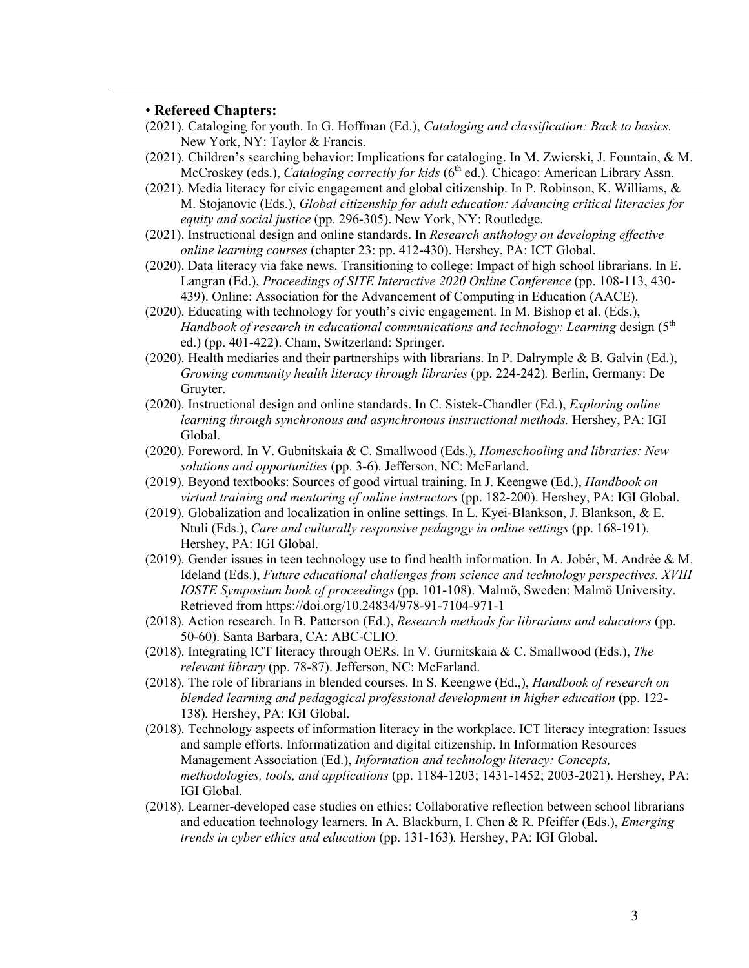## • **Refereed Chapters:**

- (2021). Cataloging for youth. In G. Hoffman (Ed.), *Cataloging and classification: Back to basics.* New York, NY: Taylor & Francis.
- (2021). Children's searching behavior: Implications for cataloging. In M. Zwierski, J. Fountain, & M. McCroskey (eds.), *Cataloging correctly for kids* (6<sup>th</sup> ed.). Chicago: American Library Assn.
- (2021). Media literacy for civic engagement and global citizenship. In P. Robinson, K. Williams,  $\&$ M. Stojanovic (Eds.), *Global citizenship for adult education: Advancing critical literacies for equity and social justice* (pp. 296-305). New York, NY: Routledge.
- (2021). Instructional design and online standards. In *Research anthology on developing effective online learning courses* (chapter 23: pp. 412-430). Hershey, PA: ICT Global.
- (2020). Data literacy via fake news. Transitioning to college: Impact of high school librarians. In E. Langran (Ed.), *Proceedings of SITE Interactive 2020 Online Conference* (pp. 108-113, 430- 439). Online: Association for the Advancement of Computing in Education (AACE).
- (2020). Educating with technology for youth's civic engagement. In M. Bishop et al. (Eds.), *Handbook of research in educational communications and technology: Learning design* (5<sup>th</sup>) ed.) (pp. 401-422). Cham, Switzerland: Springer.
- (2020). Health mediaries and their partnerships with librarians. In P. Dalrymple & B. Galvin (Ed.), *Growing community health literacy through libraries* (pp. 224-242)*.* Berlin, Germany: De Gruyter.
- (2020). Instructional design and online standards. In C. Sistek-Chandler (Ed.), *Exploring online learning through synchronous and asynchronous instructional methods.* Hershey, PA: IGI Global.
- (2020). Foreword. In V. Gubnitskaia & C. Smallwood (Eds.), *Homeschooling and libraries: New solutions and opportunities* (pp. 3-6). Jefferson, NC: McFarland.
- (2019). Beyond textbooks: Sources of good virtual training. In J. Keengwe (Ed.), *Handbook on virtual training and mentoring of online instructors* (pp. 182-200). Hershey, PA: IGI Global.
- (2019). Globalization and localization in online settings. In L. Kyei-Blankson, J. Blankson, & E. Ntuli (Eds.), *Care and culturally responsive pedagogy in online settings* (pp. 168-191). Hershey, PA: IGI Global.
- (2019). Gender issues in teen technology use to find health information. In A. Jobér, M. Andrée & M. Ideland (Eds.), *Future educational challenges from science and technology perspectives. XVIII IOSTE Symposium book of proceedings* (pp. 101-108). Malmö, Sweden: Malmö University. Retrieved from https://doi.org/10.24834/978-91-7104-971-1
- (2018). Action research. In B. Patterson (Ed.), *Research methods for librarians and educators* (pp. 50-60). Santa Barbara, CA: ABC-CLIO.
- (2018). Integrating ICT literacy through OERs. In V. Gurnitskaia & C. Smallwood (Eds.), *The relevant library* (pp. 78-87). Jefferson, NC: McFarland.
- (2018). The role of librarians in blended courses. In S. Keengwe (Ed.,), *Handbook of research on blended learning and pedagogical professional development in higher education* (pp. 122- 138)*.* Hershey, PA: IGI Global.
- (2018). Technology aspects of information literacy in the workplace. ICT literacy integration: Issues and sample efforts. Informatization and digital citizenship. In Information Resources Management Association (Ed.), *Information and technology literacy: Concepts, methodologies, tools, and applications* (pp. 1184-1203; 1431-1452; 2003-2021). Hershey, PA: IGI Global.
- (2018). Learner-developed case studies on ethics: Collaborative reflection between school librarians and education technology learners. In A. Blackburn, I. Chen & R. Pfeiffer (Eds.), *Emerging trends in cyber ethics and education* (pp. 131-163)*.* Hershey, PA: IGI Global.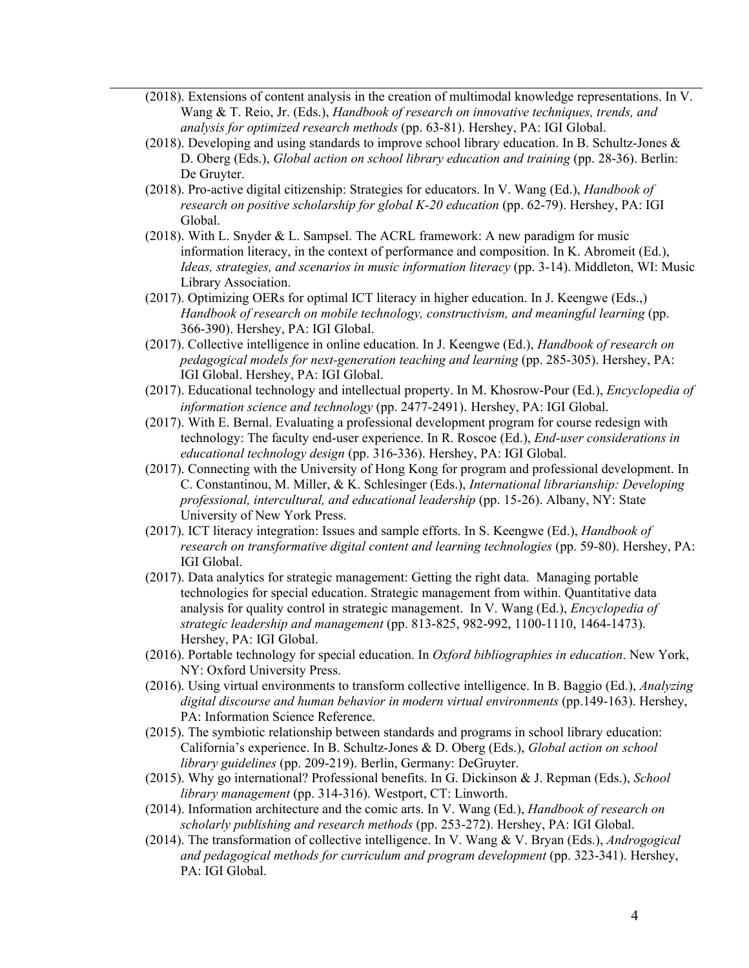- (2018). Extensions of content analysis in the creation of multimodal knowledge representations. In V. Wang & T. Reio, Jr. (Eds.), *Handbook of research on innovative techniques, trends, and analysis for optimized research methods* (pp. 63-81). Hershey, PA: IGI Global.
- (2018). Developing and using standards to improve school library education. In B. Schultz-Jones & D. Oberg (Eds.), *Global action on school library education and training* (pp. 28-36). Berlin: De Gruyter.
- (2018). Pro-active digital citizenship: Strategies for educators. In V. Wang (Ed.), *Handbook of research on positive scholarship for global K-20 education* (pp. 62-79). Hershey, PA: IGI Global.
- (2018). With L. Snyder & L. Sampsel. The ACRL framework: A new paradigm for music information literacy, in the context of performance and composition. In K. Abromeit (Ed.), *Ideas, strategies, and scenarios in music information literacy* (pp. 3-14). Middleton, WI: Music Library Association.
- (2017). Optimizing OERs for optimal ICT literacy in higher education. In J. Keengwe (Eds.,) *Handbook of research on mobile technology, constructivism, and meaningful learning* (pp. 366-390). Hershey, PA: IGI Global.
- (2017). Collective intelligence in online education. In J. Keengwe (Ed.), *Handbook of research on pedagogical models for next-generation teaching and learning* (pp. 285-305). Hershey, PA: IGI Global. Hershey, PA: IGI Global.
- (2017). Educational technology and intellectual property. In M. Khosrow-Pour (Ed.), *Encyclopedia of information science and technology* (pp. 2477-2491). Hershey, PA: IGI Global.
- (2017). With E. Bernal. Evaluating a professional development program for course redesign with technology: The faculty end-user experience. In R. Roscoe (Ed.), *End-user considerations in educational technology design* (pp. 316-336). Hershey, PA: IGI Global.
- (2017). Connecting with the University of Hong Kong for program and professional development. In C. Constantinou, M. Miller, & K. Schlesinger (Eds.), *International librarianship: Developing professional, intercultural, and educational leadership* (pp. 15-26). Albany, NY: State University of New York Press.
- (2017). ICT literacy integration: Issues and sample efforts. In S. Keengwe (Ed.), *Handbook of research on transformative digital content and learning technologies* (pp. 59-80). Hershey, PA: IGI Global.
- (2017). Data analytics for strategic management: Getting the right data. Managing portable technologies for special education. Strategic management from within. Quantitative data analysis for quality control in strategic management. In V. Wang (Ed.), *Encyclopedia of strategic leadership and management* (pp. 813-825, 982-992, 1100-1110, 1464-1473). Hershey, PA: IGI Global.
- (2016). Portable technology for special education. In *Oxford bibliographies in education*. New York, NY: Oxford University Press.
- (2016). Using virtual environments to transform collective intelligence. In B. Baggio (Ed.), *Analyzing digital discourse and human behavior in modern virtual environments* (pp.149-163). Hershey, PA: Information Science Reference.
- (2015). The symbiotic relationship between standards and programs in school library education: California's experience. In B. Schultz-Jones & D. Oberg (Eds.), *Global action on school library guidelines* (pp. 209-219). Berlin, Germany: DeGruyter.
- (2015). Why go international? Professional benefits. In G. Dickinson & J. Repman (Eds.), *School library management* (pp. 314-316). Westport, CT: Linworth.
- (2014). Information architecture and the comic arts. In V. Wang (Ed.), *Handbook of research on scholarly publishing and research methods* (pp. 253-272). Hershey, PA: IGI Global.
- (2014). The transformation of collective intelligence. In V. Wang & V. Bryan (Eds.), *Androgogical and pedagogical methods for curriculum and program development* (pp. 323-341). Hershey, PA: IGI Global.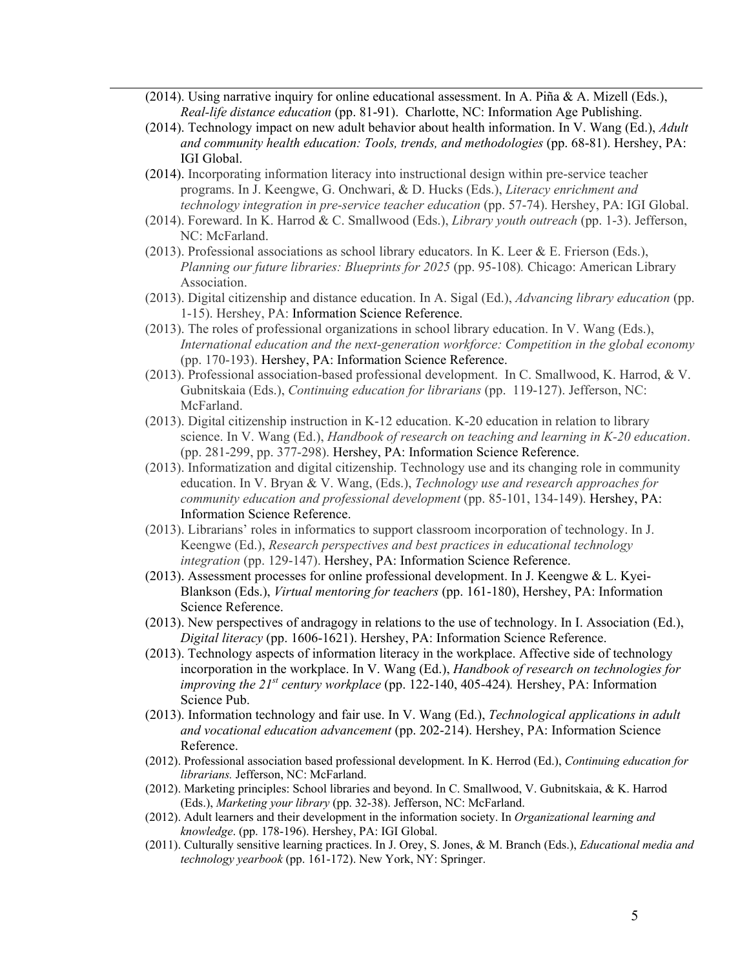- (2014). Using narrative inquiry for online educational assessment. In A. Piña & A. Mizell (Eds.), *Real-life distance education* (pp. 81-91). Charlotte, NC: Information Age Publishing.
- (2014). Technology impact on new adult behavior about health information. In V. Wang (Ed.), *Adult and community health education: Tools, trends, and methodologies* (pp. 68-81). Hershey, PA: IGI Global.
- (2014). Incorporating information literacy into instructional design within pre-service teacher programs. In J. Keengwe, G. Onchwari, & D. Hucks (Eds.), *Literacy enrichment and technology integration in pre-service teacher education* (pp. 57-74). Hershey, PA: IGI Global.
- (2014). Foreward. In K. Harrod & C. Smallwood (Eds.), *Library youth outreach* (pp. 1-3). Jefferson, NC: McFarland.
- (2013). Professional associations as school library educators. In K. Leer & E. Frierson (Eds.), *Planning our future libraries: Blueprints for 2025* (pp. 95-108)*.* Chicago: American Library Association.
- (2013). Digital citizenship and distance education. In A. Sigal (Ed.), *Advancing library education* (pp. 1-15). Hershey, PA: Information Science Reference.
- (2013). The roles of professional organizations in school library education. In V. Wang (Eds.), *International education and the next-generation workforce: Competition in the global economy*  (pp. 170-193). Hershey, PA: Information Science Reference.
- (2013). Professional association-based professional development. In C. Smallwood, K. Harrod, & V. Gubnitskaia (Eds.), *Continuing education for librarians* (pp. 119-127). Jefferson, NC: McFarland.
- (2013). Digital citizenship instruction in K-12 education. K-20 education in relation to library science. In V. Wang (Ed.), *Handbook of research on teaching and learning in K-20 education*. (pp. 281-299, pp. 377-298). Hershey, PA: Information Science Reference.
- (2013). Informatization and digital citizenship. Technology use and its changing role in community education. In V. Bryan & V. Wang, (Eds.), *Technology use and research approaches for community education and professional development* (pp. 85-101, 134-149). Hershey, PA: Information Science Reference.
- (2013). Librarians' roles in informatics to support classroom incorporation of technology. In J. Keengwe (Ed.), *Research perspectives and best practices in educational technology integration* (pp. 129-147). Hershey, PA: Information Science Reference.
- (2013). Assessment processes for online professional development. In J. Keengwe & L. Kyei-Blankson (Eds.), *Virtual mentoring for teachers* (pp. 161-180), Hershey, PA: Information Science Reference.
- (2013). New perspectives of andragogy in relations to the use of technology. In I. Association (Ed.), *Digital literacy* (pp. 1606-1621). Hershey, PA: Information Science Reference.
- (2013). Technology aspects of information literacy in the workplace. Affective side of technology incorporation in the workplace. In V. Wang (Ed.), *Handbook of research on technologies for improving the 21st century workplace* (pp. 122-140, 405-424)*.* Hershey, PA: Information Science Pub.
- (2013). Information technology and fair use. In V. Wang (Ed.), *Technological applications in adult and vocational education advancement* (pp. 202-214). Hershey, PA: Information Science Reference.
- (2012). Professional association based professional development. In K. Herrod (Ed.), *Continuing education for librarians.* Jefferson, NC: McFarland.
- (2012). Marketing principles: School libraries and beyond. In C. Smallwood, V. Gubnitskaia, & K. Harrod (Eds.), *Marketing your library* (pp. 32-38). Jefferson, NC: McFarland.
- (2012). Adult learners and their development in the information society. In *Organizational learning and knowledge*. (pp. 178-196). Hershey, PA: IGI Global.
- (2011). Culturally sensitive learning practices. In J. Orey, S. Jones, & M. Branch (Eds.), *Educational media and technology yearbook* (pp. 161-172). New York, NY: Springer.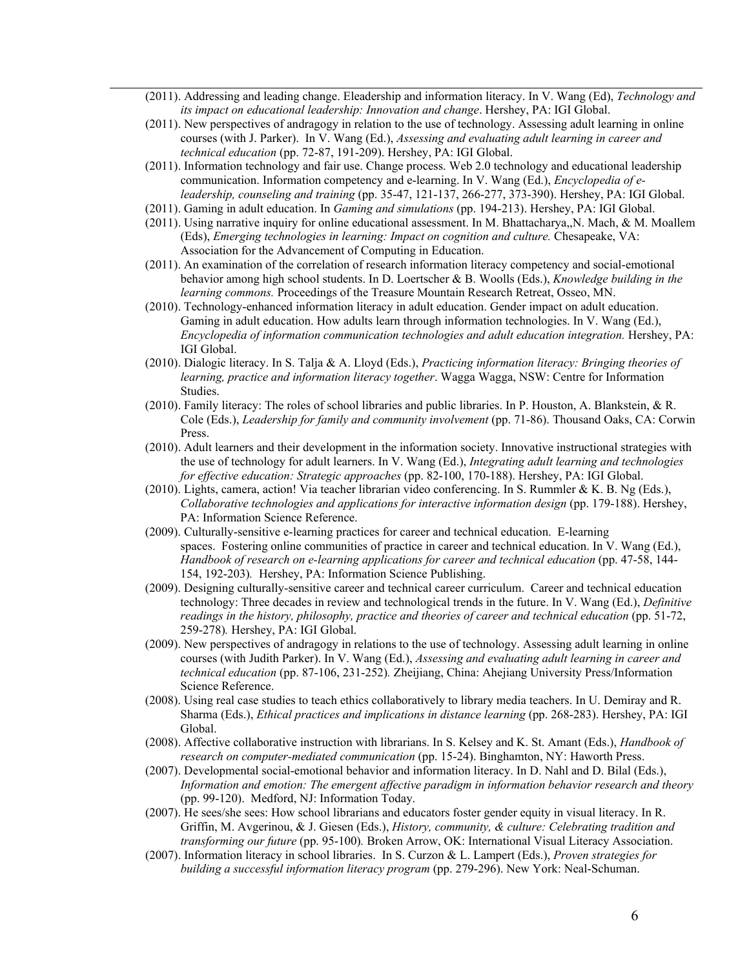- (2011). Addressing and leading change. Eleadership and information literacy. In V. Wang (Ed), *Technology and its impact on educational leadership: Innovation and change*. Hershey, PA: IGI Global.
- (2011). New perspectives of andragogy in relation to the use of technology. Assessing adult learning in online courses (with J. Parker). In V. Wang (Ed.), *Assessing and evaluating adult learning in career and technical education* (pp. 72-87, 191-209). Hershey, PA: IGI Global.
- (2011). Information technology and fair use. Change process. Web 2.0 technology and educational leadership communication. Information competency and e-learning. In V. Wang (Ed.), *Encyclopedia of eleadership, counseling and training* (pp. 35-47, 121-137, 266-277, 373-390). Hershey, PA: IGI Global.
- (2011). Gaming in adult education. In *Gaming and simulations* (pp. 194-213). Hershey, PA: IGI Global.
- (2011). Using narrative inquiry for online educational assessment. In M. Bhattacharya,,N. Mach, & M. Moallem (Eds), *Emerging technologies in learning: Impact on cognition and culture.* Chesapeake, VA: Association for the Advancement of Computing in Education.
- (2011). An examination of the correlation of research information literacy competency and social-emotional behavior among high school students. In D. Loertscher & B. Woolls (Eds.), *Knowledge building in the learning commons.* Proceedings of the Treasure Mountain Research Retreat, Osseo, MN.
- (2010). Technology-enhanced information literacy in adult education. Gender impact on adult education. Gaming in adult education. How adults learn through information technologies. In V. Wang (Ed.), *Encyclopedia of information communication technologies and adult education integration.* Hershey, PA: IGI Global.
- (2010). Dialogic literacy. In S. Talja & A. Lloyd (Eds.), *Practicing information literacy: Bringing theories of learning, practice and information literacy together*. Wagga Wagga, NSW: Centre for Information Studies.
- (2010). Family literacy: The roles of school libraries and public libraries. In P. Houston, A. Blankstein, & R. Cole (Eds.), *Leadership for family and community involvement* (pp. 71-86). Thousand Oaks, CA: Corwin Press.
- (2010). Adult learners and their development in the information society. Innovative instructional strategies with the use of technology for adult learners. In V. Wang (Ed.), *Integrating adult learning and technologies for effective education: Strategic approaches* (pp. 82-100, 170-188). Hershey, PA: IGI Global.
- (2010). Lights, camera, action! Via teacher librarian video conferencing. In S. Rummler & K. B. Ng (Eds.), *Collaborative technologies and applications for interactive information design* (pp. 179-188). Hershey, PA: Information Science Reference.
- (2009). Culturally-sensitive e-learning practices for career and technical education. E-learning spaces. Fostering online communities of practice in career and technical education. In V. Wang (Ed.), *Handbook of research on e-learning applications for career and technical education* (pp. 47-58, 144- 154, 192-203)*.* Hershey, PA: Information Science Publishing.
- (2009). Designing culturally-sensitive career and technical career curriculum. Career and technical education technology: Three decades in review and technological trends in the future. In V. Wang (Ed.), *Definitive readings in the history, philosophy, practice and theories of career and technical education* (pp. 51-72, 259-278)*.* Hershey, PA: IGI Global.
- (2009). New perspectives of andragogy in relations to the use of technology. Assessing adult learning in online courses (with Judith Parker). In V. Wang (Ed.), *Assessing and evaluating adult learning in career and technical education* (pp. 87-106, 231-252)*.* Zheijiang, China: Ahejiang University Press/Information Science Reference.
- (2008). Using real case studies to teach ethics collaboratively to library media teachers. In U. Demiray and R. Sharma (Eds.), *Ethical practices and implications in distance learning* (pp. 268-283). Hershey, PA: IGI Global.
- (2008). Affective collaborative instruction with librarians. In S. Kelsey and K. St. Amant (Eds.), *Handbook of research on computer-mediated communication* (pp. 15-24). Binghamton, NY: Haworth Press.
- (2007). Developmental social-emotional behavior and information literacy. In D. Nahl and D. Bilal (Eds.), *Information and emotion: The emergent affective paradigm in information behavior research and theory* (pp. 99-120). Medford, NJ: Information Today.
- (2007). He sees/she sees: How school librarians and educators foster gender equity in visual literacy. In R. Griffin, M. Avgerinou, & J. Giesen (Eds.), *History, community, & culture: Celebrating tradition and transforming our future* (pp. 95-100)*.* Broken Arrow, OK: International Visual Literacy Association.
- (2007). Information literacy in school libraries. In S. Curzon & L. Lampert (Eds.), *Proven strategies for building a successful information literacy program* (pp. 279-296). New York: Neal-Schuman.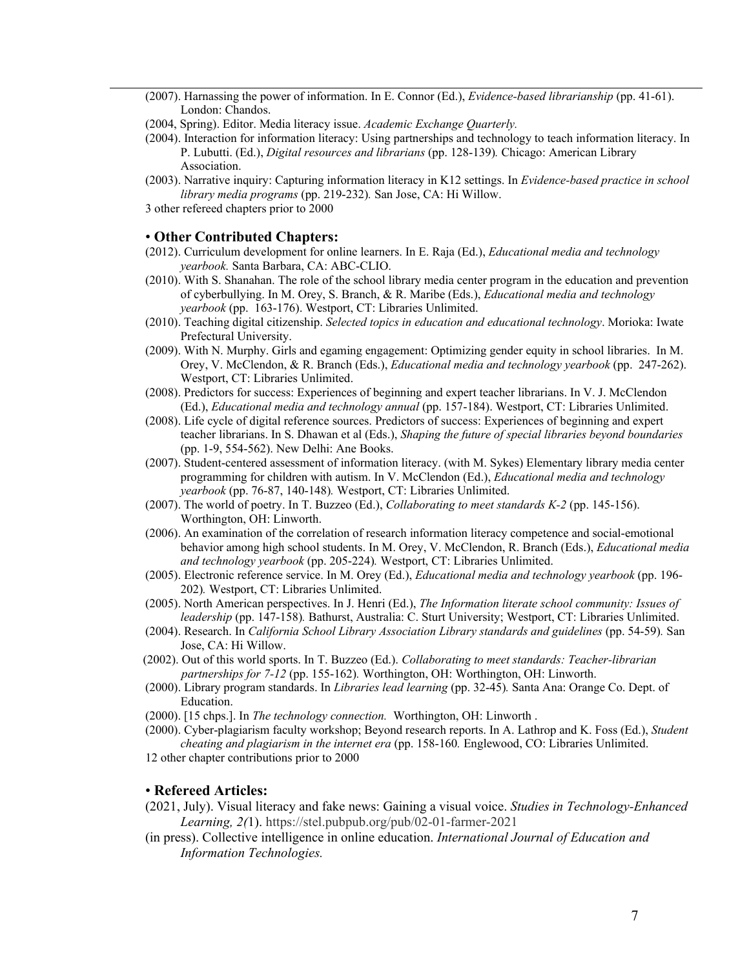(2007). Harnassing the power of information. In E. Connor (Ed.), *Evidence-based librarianship* (pp. 41-61). London: Chandos.

- (2004, Spring). Editor. Media literacy issue. *Academic Exchange Quarterly.*
- (2004). Interaction for information literacy: Using partnerships and technology to teach information literacy. In P. Lubutti. (Ed.), *Digital resources and librarians* (pp. 128-139)*.* Chicago: American Library Association.
- (2003). Narrative inquiry: Capturing information literacy in K12 settings. In *Evidence-based practice in school library media programs* (pp. 219-232)*.* San Jose, CA: Hi Willow.
- 3 other refereed chapters prior to 2000

#### • **Other Contributed Chapters:**

- (2012). Curriculum development for online learners. In E. Raja (Ed.), *Educational media and technology yearbook.* Santa Barbara, CA: ABC-CLIO.
- (2010). With S. Shanahan. The role of the school library media center program in the education and prevention of cyberbullying. In M. Orey, S. Branch, & R. Maribe (Eds.), *Educational media and technology yearbook* (pp. 163-176). Westport, CT: Libraries Unlimited.
- (2010). Teaching digital citizenship. *Selected topics in education and educational technology*. Morioka: Iwate Prefectural University.
- (2009). With N. Murphy. Girls and egaming engagement: Optimizing gender equity in school libraries. In M. Orey, V. McClendon, & R. Branch (Eds.), *Educational media and technology yearbook* (pp. 247-262). Westport, CT: Libraries Unlimited.
- (2008). Predictors for success: Experiences of beginning and expert teacher librarians. In V. J. McClendon (Ed.), *Educational media and technology annual* (pp. 157-184). Westport, CT: Libraries Unlimited.
- (2008). Life cycle of digital reference sources. Predictors of success: Experiences of beginning and expert teacher librarians. In S. Dhawan et al (Eds.), *Shaping the future of special libraries beyond boundaries*  (pp. 1-9, 554-562). New Delhi: Ane Books.
- (2007). Student-centered assessment of information literacy. (with M. Sykes) Elementary library media center programming for children with autism. In V. McClendon (Ed.), *Educational media and technology yearbook* (pp. 76-87, 140-148)*.* Westport, CT: Libraries Unlimited.
- (2007). The world of poetry. In T. Buzzeo (Ed.), *Collaborating to meet standards K-2* (pp. 145-156). Worthington, OH: Linworth.
- (2006). An examination of the correlation of research information literacy competence and social-emotional behavior among high school students. In M. Orey, V. McClendon, R. Branch (Eds.), *Educational media and technology yearbook* (pp. 205-224)*.* Westport, CT: Libraries Unlimited.
- (2005). Electronic reference service. In M. Orey (Ed.), *Educational media and technology yearbook* (pp. 196- 202)*.* Westport, CT: Libraries Unlimited.
- (2005). North American perspectives. In J. Henri (Ed.), *The Information literate school community: Issues of leadership* (pp. 147-158)*.* Bathurst, Australia: C. Sturt University; Westport, CT: Libraries Unlimited.
- (2004). Research. In *California School Library Association Library standards and guidelines* (pp. 54-59)*.* San Jose, CA: Hi Willow.
- (2002). Out of this world sports. In T. Buzzeo (Ed.). *Collaborating to meet standards: Teacher-librarian partnerships for 7-12* (pp. 155-162)*.* Worthington, OH: Worthington, OH: Linworth.
- (2000). Library program standards. In *Libraries lead learning* (pp. 32-45)*.* Santa Ana: Orange Co. Dept. of Education.
- (2000). [15 chps.]. In *The technology connection.* Worthington, OH: Linworth .
- (2000). Cyber-plagiarism faculty workshop; Beyond research reports. In A. Lathrop and K. Foss (Ed.), *Student cheating and plagiarism in the internet era* (pp. 158-160*.* Englewood, CO: Libraries Unlimited.
- 12 other chapter contributions prior to 2000

#### • **Refereed Articles:**

- (2021, July). Visual literacy and fake news: Gaining a visual voice. *Studies in Technology-Enhanced Learning, 2(*1). https://stel.pubpub.org/pub/02-01-farmer-2021
- (in press). Collective intelligence in online education. *International Journal of Education and Information Technologies.*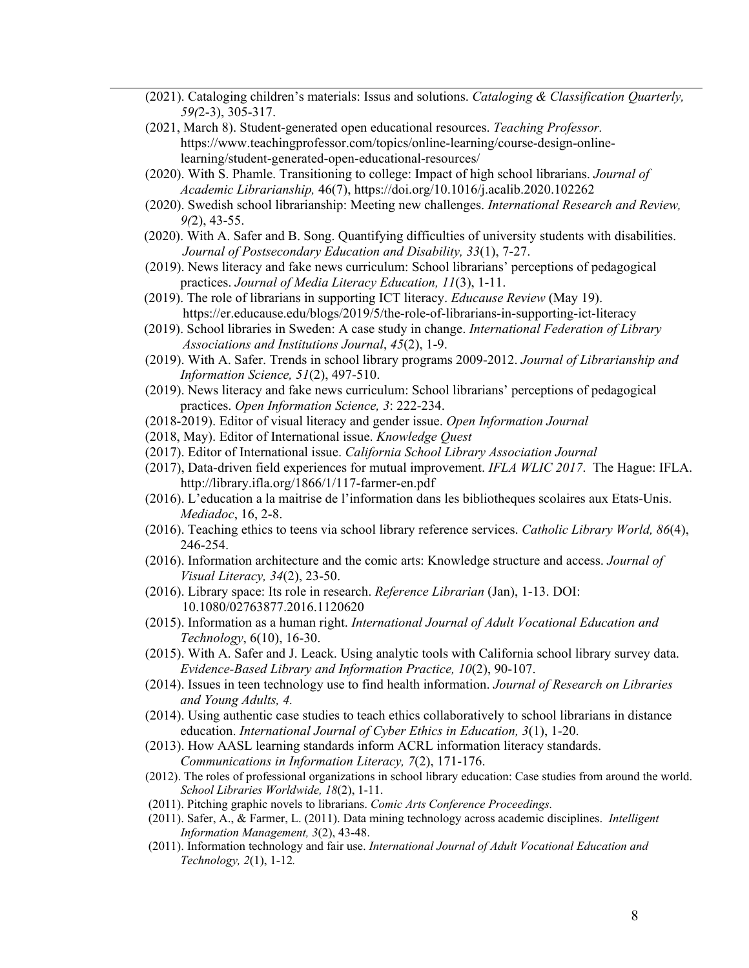- (2021). Cataloging children's materials: Issus and solutions. *Cataloging & Classification Quarterly, 59(*2-3), 305-317.
- (2021, March 8). Student-generated open educational resources. *Teaching Professor.* https://www.teachingprofessor.com/topics/online-learning/course-design-onlinelearning/student-generated-open-educational-resources/
- (2020). With S. Phamle. Transitioning to college: Impact of high school librarians. *Journal of Academic Librarianship,* 46(7), https://doi.org/10.1016/j.acalib.2020.102262
- (2020). Swedish school librarianship: Meeting new challenges. *International Research and Review, 9(*2), 43-55.
- (2020). With A. Safer and B. Song. Quantifying difficulties of university students with disabilities. *Journal of Postsecondary Education and Disability, 33*(1), 7-27.
- (2019). News literacy and fake news curriculum: School librarians' perceptions of pedagogical practices. *Journal of Media Literacy Education, 11*(3), 1-11.
- (2019). The role of librarians in supporting ICT literacy. *Educause Review* (May 19). https://er.educause.edu/blogs/2019/5/the-role-of-librarians-in-supporting-ict-literacy
- (2019). School libraries in Sweden: A case study in change. *International Federation of Library Associations and Institutions Journal*, *45*(2), 1-9.
- (2019). With A. Safer. Trends in school library programs 2009-2012. *Journal of Librarianship and Information Science, 51*(2), 497-510.
- (2019). News literacy and fake news curriculum: School librarians' perceptions of pedagogical practices. *Open Information Science, 3*: 222-234.
- (2018-2019). Editor of visual literacy and gender issue. *Open Information Journal*
- (2018, May). Editor of International issue. *Knowledge Quest*
- (2017). Editor of International issue. *California School Library Association Journal*
- (2017), Data-driven field experiences for mutual improvement. *IFLA WLIC 2017*. The Hague: IFLA. http://library.ifla.org/1866/1/117-farmer-en.pdf
- (2016). L'education a la maitrise de l'information dans les bibliotheques scolaires aux Etats-Unis. *Mediadoc*, 16, 2-8.
- (2016). Teaching ethics to teens via school library reference services. *Catholic Library World, 86*(4), 246-254.
- (2016). Information architecture and the comic arts: Knowledge structure and access. *Journal of Visual Literacy, 34*(2), 23-50.
- (2016). Library space: Its role in research. *Reference Librarian* (Jan), 1-13. DOI: 10.1080/02763877.2016.1120620
- (2015). Information as a human right. *International Journal of Adult Vocational Education and Technology*, 6(10), 16-30.
- (2015). With A. Safer and J. Leack. Using analytic tools with California school library survey data. *Evidence-Based Library and Information Practice, 10*(2), 90-107.
- (2014). Issues in teen technology use to find health information. *Journal of Research on Libraries and Young Adults, 4.*
- (2014). Using authentic case studies to teach ethics collaboratively to school librarians in distance education. *International Journal of Cyber Ethics in Education, 3*(1), 1-20.
- (2013). How AASL learning standards inform ACRL information literacy standards. *Communications in Information Literacy, 7*(2), 171-176.
- (2012). The roles of professional organizations in school library education: Case studies from around the world. *School Libraries Worldwide, 18*(2), 1-11.
- (2011). Pitching graphic novels to librarians. *Comic Arts Conference Proceedings.*
- (2011). Safer, A., & Farmer, L. (2011). Data mining technology across academic disciplines.*Intelligent Information Management, 3*(2), 43-48.
- (2011). Information technology and fair use. *International Journal of Adult Vocational Education and Technology, 2*(1), 1-12*.*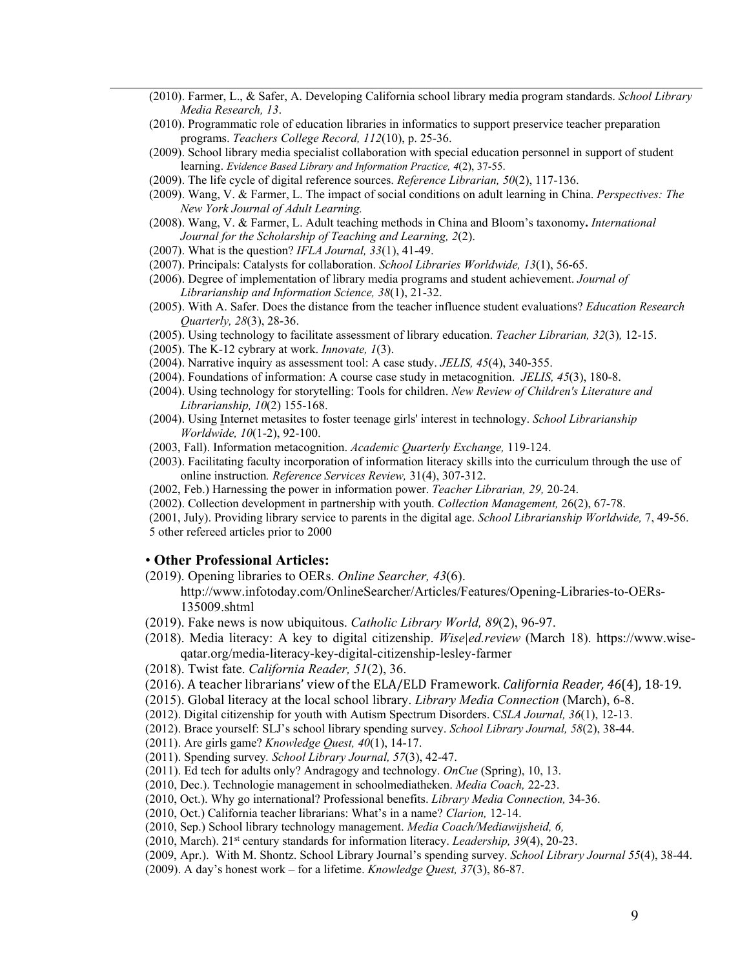- (2010). Farmer, L., & Safer, A. Developing California school library media program standards. *School Library Media Research, 13*.
- (2010). Programmatic role of education libraries in informatics to support preservice teacher preparation programs. *Teachers College Record, 112*(10), p. 25-36.
- (2009). School library media specialist collaboration with special education personnel in support of student learning. *Evidence Based Library and Information Practice, 4*(2), 37-55.
- (2009). The life cycle of digital reference sources. *Reference Librarian, 50*(2), 117-136.
- (2009). Wang, V. & Farmer, L. The impact of social conditions on adult learning in China. *Perspectives: The New York Journal of Adult Learning.*
- (2008). Wang, V. & Farmer, L. Adult teaching methods in China and Bloom's taxonomy**.** *International Journal for the Scholarship of Teaching and Learning, 2*(2).
- (2007). What is the question? *IFLA Journal, 33*(1), 41-49.
- (2007). Principals: Catalysts for collaboration. *School Libraries Worldwide, 13*(1), 56-65.
- (2006). Degree of implementation of library media programs and student achievement. *Journal of Librarianship and Information Science, 38*(1), 21-32.
- (2005). With A. Safer. Does the distance from the teacher influence student evaluations? *Education Research Quarterly, 28*(3), 28-36.
- (2005). Using technology to facilitate assessment of library education. *Teacher Librarian, 32*(3)*,* 12-15.
- (2005). The K-12 cybrary at work. *Innovate, 1*(3).
- (2004). Narrative inquiry as assessment tool: A case study. *JELIS, 45*(4), 340-355.
- (2004). Foundations of information: A course case study in metacognition. *JELIS, 45*(3), 180-8.
- (2004). Using technology for storytelling: Tools for children. *New Review of Children's Literature and Librarianship, 10*(2) 155-168.
- (2004). Using Internet metasites to foster teenage girls' interest in technology. *School Librarianship Worldwide, 10*(1-2), 92-100.
- (2003, Fall). Information metacognition. *Academic Quarterly Exchange,* 119-124.
- (2003). Facilitating faculty incorporation of information literacy skills into the curriculum through the use of online instruction*. Reference Services Review,* 31(4), 307-312.
- (2002, Feb.) Harnessing the power in information power. *Teacher Librarian, 29,* 20-24.
- (2002). Collection development in partnership with youth. *Collection Management,* 26(2), 67-78.

(2001, July). Providing library service to parents in the digital age. *School Librarianship Worldwide,* 7, 49-56. 5 other refereed articles prior to 2000

#### • **Other Professional Articles:**

- (2019). Opening libraries to OERs. *Online Searcher, 43*(6).
	- http://www.infotoday.com/OnlineSearcher/Articles/Features/Opening-Libraries-to-OERs-135009.shtml
- (2019). Fake news is now ubiquitous. *Catholic Library World, 89*(2), 96-97.
- (2018). Media literacy: A key to digital citizenship. *Wise|ed.review* (March 18). https://www.wiseqatar.org/media-literacy-key-digital-citizenship-lesley-farmer
- (2018). Twist fate. *California Reader, 51*(2), 36.
- (2016). A teacher librarians' view of the ELA/ELD Framework. *California Reader, 46*(4), 18-19.
- (2015). Global literacy at the local school library. *Library Media Connection* (March), 6-8.
- (2012). Digital citizenship for youth with Autism Spectrum Disorders. C*SLA Journal, 36*(1), 12-13.
- (2012). Brace yourself: SLJ's school library spending survey. *School Library Journal, 58*(2), 38-44.
- (2011). Are girls game? *Knowledge Quest, 40*(1), 14-17.
- (2011). Spending survey*. School Library Journal, 57*(3), 42-47.
- (2011). Ed tech for adults only? Andragogy and technology. *OnCue* (Spring), 10, 13.
- (2010, Dec.). Technologie management in schoolmediatheken. *Media Coach,* 22-23.
- (2010, Oct.). Why go international? Professional benefits. *Library Media Connection,* 34-36.
- (2010, Oct.) California teacher librarians: What's in a name? *Clarion,* 12-14.
- (2010, Sep.) School library technology management. *Media Coach/Mediawijsheid, 6,*
- (2010, March). 21st century standards for information literacy. *Leadership, 39*(4), 20-23.
- (2009, Apr.). With M. Shontz. School Library Journal's spending survey. *School Library Journal 55*(4), 38-44.
- (2009). A day's honest work for a lifetime. *Knowledge Quest, 37*(3), 86-87.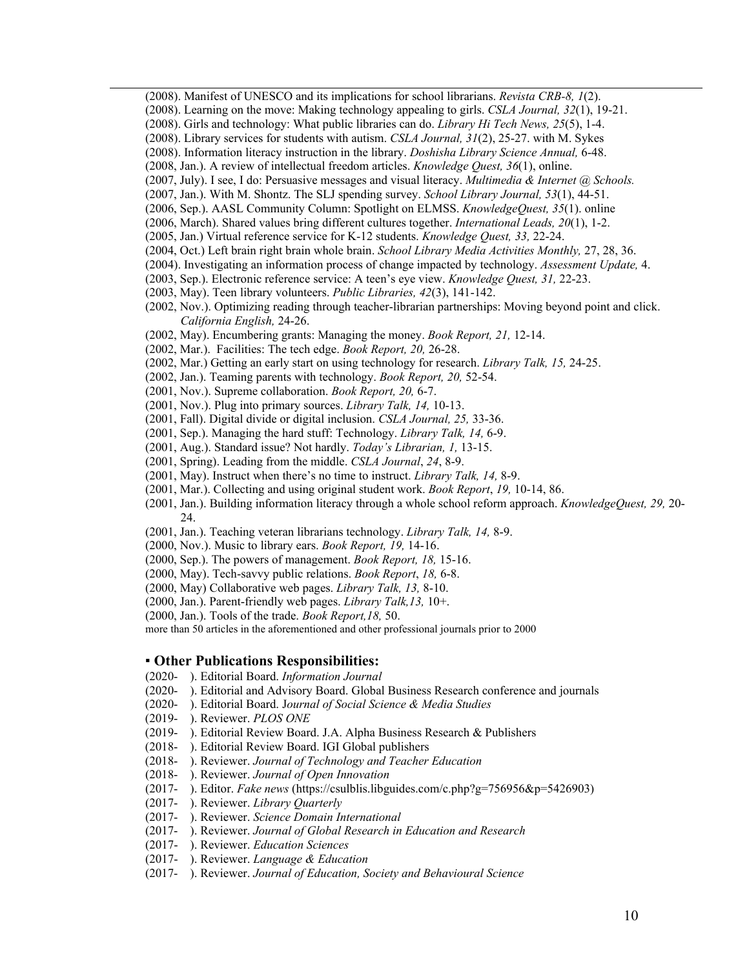- (2008). Manifest of UNESCO and its implications for school librarians. *Revista CRB-8, 1*(2).
- (2008). Learning on the move: Making technology appealing to girls. *CSLA Journal, 32*(1), 19-21.
- (2008). Girls and technology: What public libraries can do. *Library Hi Tech News, 25*(5), 1-4.
- (2008). Library services for students with autism. *CSLA Journal, 31*(2), 25-27. with M. Sykes
- (2008). Information literacy instruction in the library. *Doshisha Library Science Annual,* 6-48.
- (2008, Jan.). A review of intellectual freedom articles. *Knowledge Quest, 36*(1), online.
- (2007, July). I see, I do: Persuasive messages and visual literacy. *Multimedia & Internet @ Schools.*
- (2007, Jan.). With M. Shontz. The SLJ spending survey. *School Library Journal, 53*(1), 44-51.
- (2006, Sep.). AASL Community Column: Spotlight on ELMSS. *KnowledgeQuest, 35*(1). online
- (2006, March). Shared values bring different cultures together. *International Leads, 20*(1), 1-2.
- (2005, Jan.) Virtual reference service for K-12 students. *Knowledge Quest, 33,* 22-24.
- (2004, Oct.) Left brain right brain whole brain. *School Library Media Activities Monthly,* 27, 28, 36.
- (2004). Investigating an information process of change impacted by technology. *Assessment Update,* 4.
- (2003, Sep.). Electronic reference service: A teen's eye view. *Knowledge Quest, 31,* 22-23.
- (2003, May). Teen library volunteers. *Public Libraries, 42*(3), 141-142.
- (2002, Nov.). Optimizing reading through teacher-librarian partnerships: Moving beyond point and click. *California English,* 24-26.
- (2002, May). Encumbering grants: Managing the money. *Book Report, 21,* 12-14.
- (2002, Mar.). Facilities: The tech edge. *Book Report, 20,* 26-28.
- (2002, Mar.) Getting an early start on using technology for research. *Library Talk, 15,* 24-25.
- (2002, Jan.). Teaming parents with technology. *Book Report, 20,* 52-54.
- (2001, Nov.). Supreme collaboration. *Book Report, 20,* 6-7.
- (2001, Nov.). Plug into primary sources. *Library Talk, 14,* 10-13.
- (2001, Fall). Digital divide or digital inclusion. *CSLA Journal, 25,* 33-36.
- (2001, Sep.). Managing the hard stuff: Technology. *Library Talk, 14,* 6-9.
- (2001, Aug.). Standard issue? Not hardly. *Today's Librarian, 1,* 13-15.
- (2001, Spring). Leading from the middle. *CSLA Journal*, *24*, 8-9.
- (2001, May). Instruct when there's no time to instruct. *Library Talk, 14,* 8-9.
- (2001, Mar.). Collecting and using original student work. *Book Report*, *19,* 10-14, 86.
- (2001, Jan.). Building information literacy through a whole school reform approach. *KnowledgeQuest, 29,* 20- 24.
- (2001, Jan.). Teaching veteran librarians technology. *Library Talk, 14,* 8-9.
- (2000, Nov.). Music to library ears. *Book Report, 19,* 14-16.
- (2000, Sep.). The powers of management. *Book Report, 18,* 15-16.
- (2000, May). Tech-savvy public relations. *Book Report*, *18,* 6-8.
- (2000, May) Collaborative web pages. *Library Talk, 13,* 8-10.
- (2000, Jan.). Parent-friendly web pages. *Library Talk,13,* 10+.
- (2000, Jan.). Tools of the trade. *Book Report,18,* 50.

more than 50 articles in the aforementioned and other professional journals prior to 2000

#### ▪ **Other Publications Responsibilities:**

- (2020- ). Editorial Board. *Information Journal*
- (2020- ). Editorial and Advisory Board. Global Business Research conference and journals
- (2020- ). Editorial Board. J*ournal of Social Science & Media Studies*
- (2019- ). Reviewer. *PLOS ONE*
- (2019- ). Editorial Review Board. J.A. Alpha Business Research & Publishers
- (2018- ). Editorial Review Board. IGI Global publishers
- (2018- ). Reviewer. *Journal of Technology and Teacher Education*
- (2018- ). Reviewer. *Journal of Open Innovation*
- (2017- ). Editor. *Fake news* (https://csulblis.libguides.com/c.php?g=756956&p=5426903)
- (2017- ). Reviewer. *Library Quarterly*
- (2017- ). Reviewer. *Science Domain International*
- (2017- ). Reviewer. *Journal of Global Research in Education and Research*
- (2017- ). Reviewer. *Education Sciences*
- (2017- ). Reviewer. *Language & Education*
- (2017- ). Reviewer. *Journal of Education, Society and Behavioural Science*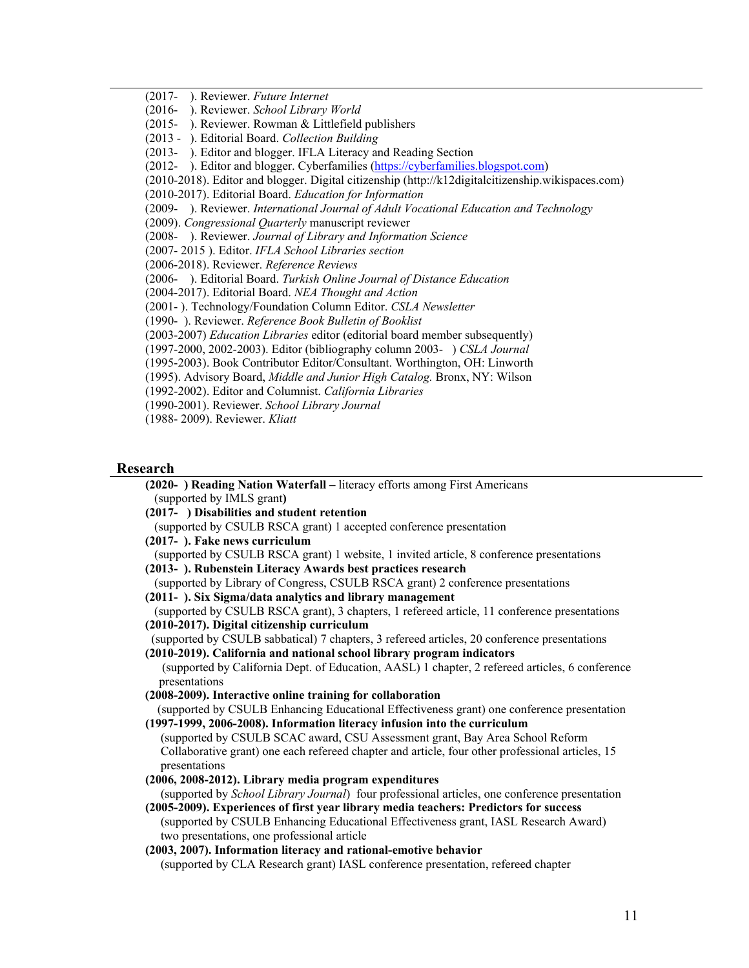(2017- ). Reviewer. *Future Internet*

- (2016- ). Reviewer. *School Library World*
- (2015- ). Reviewer. Rowman & Littlefield publishers
- (2013 ). Editorial Board. *Collection Building*

(2013- ). Editor and blogger. IFLA Literacy and Reading Section

(2012- ). Editor and blogger. Cyberfamilies [\(https://cyberfamilies.blogspot.com\)](https://cyberfamilies.blogspot.com/)

(2010-2018). Editor and blogger. Digital citizenship (http://k12digitalcitizenship.wikispaces.com)

(2010-2017). Editorial Board. *Education for Information*

(2009- ). Reviewer. *International Journal of Adult Vocational Education and Technology*

(2009). *Congressional Quarterly* manuscript reviewer

(2008- ). Reviewer. *Journal of Library and Information Science*

- (2007- 2015 ). Editor. *IFLA School Libraries section*
- (2006-2018). Reviewer. *Reference Reviews*

(2006- ). Editorial Board. *Turkish Online Journal of Distance Education*

(2004-2017). Editorial Board. *NEA Thought and Action* 

(2001- ). Technology/Foundation Column Editor. *CSLA Newsletter*

(1990- ). Reviewer. *Reference Book Bulletin of Booklist*

(2003-2007) *Education Libraries* editor (editorial board member subsequently)

(1997-2000, 2002-2003). Editor (bibliography column 2003- ) *CSLA Journal* 

(1995-2003). Book Contributor Editor/Consultant. Worthington, OH: Linworth

(1995). Advisory Board, *Middle and Junior High Catalog.* Bronx, NY: Wilson

(1992-2002). Editor and Columnist. *California Libraries*

(1990-2001). Reviewer. *School Library Journal*

(1988- 2009). Reviewer. *Kliatt*

#### **Research**

**(2020- ) Reading Nation Waterfall –** literacy efforts among First Americans (supported by IMLS grant**)**

**(2017- ) Disabilities and student retention**

(supported by CSULB RSCA grant) 1 accepted conference presentation

**(2017- ). Fake news curriculum**

(supported by CSULB RSCA grant) 1 website, 1 invited article, 8 conference presentations

**(2013- ). Rubenstein Literacy Awards best practices research**

(supported by Library of Congress, CSULB RSCA grant) 2 conference presentations

**(2011- ). Six Sigma/data analytics and library management**

(supported by CSULB RSCA grant), 3 chapters, 1 refereed article, 11 conference presentations **(2010-2017). Digital citizenship curriculum**

(supported by CSULB sabbatical) 7 chapters, 3 refereed articles, 20 conference presentations **(2010-2019). California and national school library program indicators**

(supported by California Dept. of Education, AASL) 1 chapter, 2 refereed articles, 6 conference presentations

**(2008-2009). Interactive online training for collaboration**

 (supported by CSULB Enhancing Educational Effectiveness grant) one conference presentation **(1997-1999, 2006-2008). Information literacy infusion into the curriculum** 

 (supported by CSULB SCAC award, CSU Assessment grant, Bay Area School Reform Collaborative grant) one each refereed chapter and article, four other professional articles, 15 presentations

**(2006, 2008-2012). Library media program expenditures** 

 (supported by *School Library Journal*) four professional articles, one conference presentation **(2005-2009). Experiences of first year library media teachers: Predictors for success** 

 (supported by CSULB Enhancing Educational Effectiveness grant, IASL Research Award) two presentations, one professional article

**(2003, 2007). Information literacy and rational-emotive behavior** 

(supported by CLA Research grant) IASL conference presentation, refereed chapter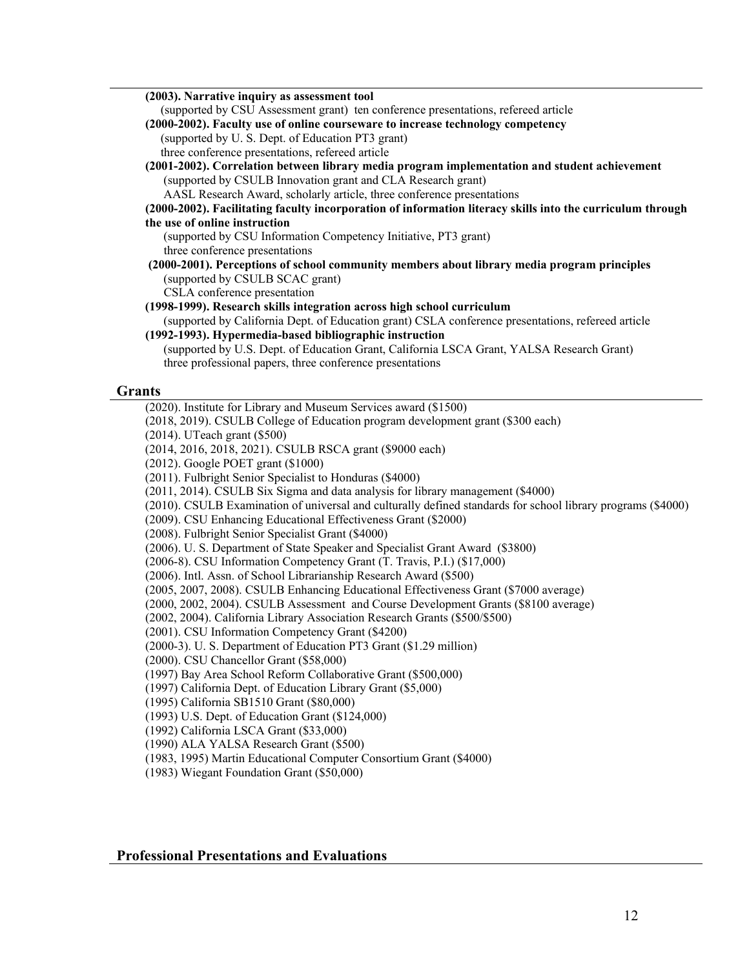**(2003). Narrative inquiry as assessment tool** (supported by CSU Assessment grant) ten conference presentations, refereed article **(2000-2002). Faculty use of online courseware to increase technology competency** (supported by U. S. Dept. of Education PT3 grant) three conference presentations, refereed article **(2001-2002). Correlation between library media program implementation and student achievement** (supported by CSULB Innovation grant and CLA Research grant) AASL Research Award, scholarly article, three conference presentations **(2000-2002). Facilitating faculty incorporation of information literacy skills into the curriculum through the use of online instruction**  (supported by CSU Information Competency Initiative, PT3 grant) three conference presentations **(2000-2001). Perceptions of school community members about library media program principles** (supported by CSULB SCAC grant) CSLA conference presentation **(1998-1999). Research skills integration across high school curriculum** (supported by California Dept. of Education grant) CSLA conference presentations, refereed article **(1992-1993). Hypermedia-based bibliographic instruction** (supported by U.S. Dept. of Education Grant, California LSCA Grant, YALSA Research Grant) three professional papers, three conference presentations **Grants** (2020). Institute for Library and Museum Services award (\$1500) (2018, 2019). CSULB College of Education program development grant (\$300 each) (2014). UTeach grant (\$500) (2014, 2016, 2018, 2021). CSULB RSCA grant (\$9000 each) (2012). Google POET grant (\$1000) (2011). Fulbright Senior Specialist to Honduras (\$4000) (2011, 2014). CSULB Six Sigma and data analysis for library management (\$4000) (2010). CSULB Examination of universal and culturally defined standards for school library programs (\$4000) (2009). CSU Enhancing Educational Effectiveness Grant (\$2000) (2008). Fulbright Senior Specialist Grant (\$4000)

(2006). U. S. Department of State Speaker and Specialist Grant Award (\$3800)

(2006-8). CSU Information Competency Grant (T. Travis, P.I.) (\$17,000)

(2006). Intl. Assn. of School Librarianship Research Award (\$500)

(2005, 2007, 2008). CSULB Enhancing Educational Effectiveness Grant (\$7000 average)

(2000, 2002, 2004). CSULB Assessment and Course Development Grants (\$8100 average)

(2002, 2004). California Library Association Research Grants (\$500/\$500)

(2001). CSU Information Competency Grant (\$4200)

(2000-3). U. S. Department of Education PT3 Grant (\$1.29 million)

(2000). CSU Chancellor Grant (\$58,000)

(1997) Bay Area School Reform Collaborative Grant (\$500,000)

(1997) California Dept. of Education Library Grant (\$5,000)

(1995) California SB1510 Grant (\$80,000)

(1993) U.S. Dept. of Education Grant (\$124,000)

(1992) California LSCA Grant (\$33,000)

(1990) ALA YALSA Research Grant (\$500)

(1983, 1995) Martin Educational Computer Consortium Grant (\$4000)

(1983) Wiegant Foundation Grant (\$50,000)

## **Professional Presentations and Evaluations**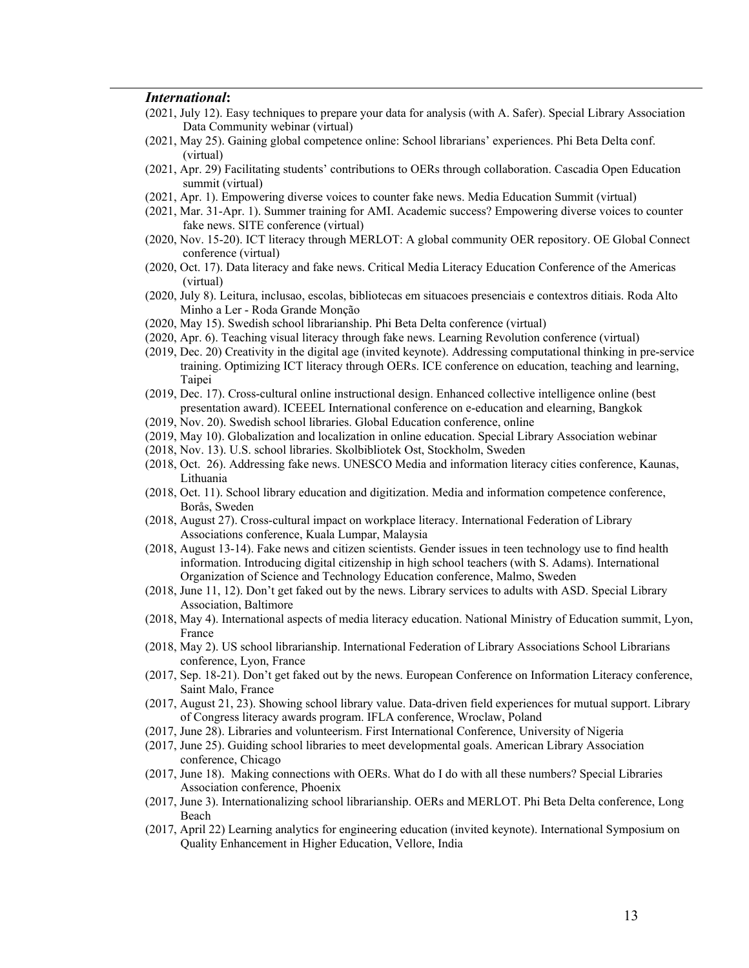#### *International***:**

- (2021, July 12). Easy techniques to prepare your data for analysis (with A. Safer). Special Library Association Data Community webinar (virtual)
- (2021, May 25). Gaining global competence online: School librarians' experiences. Phi Beta Delta conf. (virtual)
- (2021, Apr. 29) Facilitating students' contributions to OERs through collaboration. Cascadia Open Education summit (virtual)
- (2021, Apr. 1). Empowering diverse voices to counter fake news. Media Education Summit (virtual)
- (2021, Mar. 31-Apr. 1). Summer training for AMI. Academic success? Empowering diverse voices to counter fake news. SITE conference (virtual)
- (2020, Nov. 15-20). ICT literacy through MERLOT: A global community OER repository. OE Global Connect conference (virtual)
- (2020, Oct. 17). Data literacy and fake news. Critical Media Literacy Education Conference of the Americas (virtual)
- (2020, July 8). Leitura, inclusao, escolas, bibliotecas em situacoes presenciais e contextros ditiais. Roda Alto Minho a Ler - Roda Grande Monção
- (2020, May 15). Swedish school librarianship. Phi Beta Delta conference (virtual)
- (2020, Apr. 6). Teaching visual literacy through fake news. Learning Revolution conference (virtual)
- (2019, Dec. 20) Creativity in the digital age (invited keynote). Addressing computational thinking in pre-service training. Optimizing ICT literacy through OERs. ICE conference on education, teaching and learning, Taipei
- (2019, Dec. 17). Cross-cultural online instructional design. Enhanced collective intelligence online (best presentation award). ICEEEL International conference on e-education and elearning, Bangkok
- (2019, Nov. 20). Swedish school libraries. Global Education conference, online
- (2019, May 10). Globalization and localization in online education. Special Library Association webinar
- (2018, Nov. 13). U.S. school libraries. Skolbibliotek Ost, Stockholm, Sweden
- (2018, Oct. 26). Addressing fake news. UNESCO Media and information literacy cities conference, Kaunas, Lithuania
- (2018, Oct. 11). School library education and digitization. Media and information competence conference, Borås, Sweden
- (2018, August 27). Cross-cultural impact on workplace literacy. International Federation of Library Associations conference, Kuala Lumpar, Malaysia
- (2018, August 13-14). Fake news and citizen scientists. Gender issues in teen technology use to find health information. Introducing digital citizenship in high school teachers (with S. Adams). International Organization of Science and Technology Education conference, Malmo, Sweden
- (2018, June 11, 12). Don't get faked out by the news. Library services to adults with ASD. Special Library Association, Baltimore
- (2018, May 4). International aspects of media literacy education. National Ministry of Education summit, Lyon, France
- (2018, May 2). US school librarianship. International Federation of Library Associations School Librarians conference, Lyon, France
- (2017, Sep. 18-21). Don't get faked out by the news. European Conference on Information Literacy conference, Saint Malo, France
- (2017, August 21, 23). Showing school library value. Data-driven field experiences for mutual support. Library of Congress literacy awards program. IFLA conference, Wroclaw, Poland
- (2017, June 28). Libraries and volunteerism. First International Conference, University of Nigeria
- (2017, June 25). Guiding school libraries to meet developmental goals. American Library Association conference, Chicago
- (2017, June 18). Making connections with OERs. What do I do with all these numbers? Special Libraries Association conference, Phoenix
- (2017, June 3). Internationalizing school librarianship. OERs and MERLOT. Phi Beta Delta conference, Long Beach
- (2017, April 22) Learning analytics for engineering education (invited keynote). International Symposium on Quality Enhancement in Higher Education, Vellore, India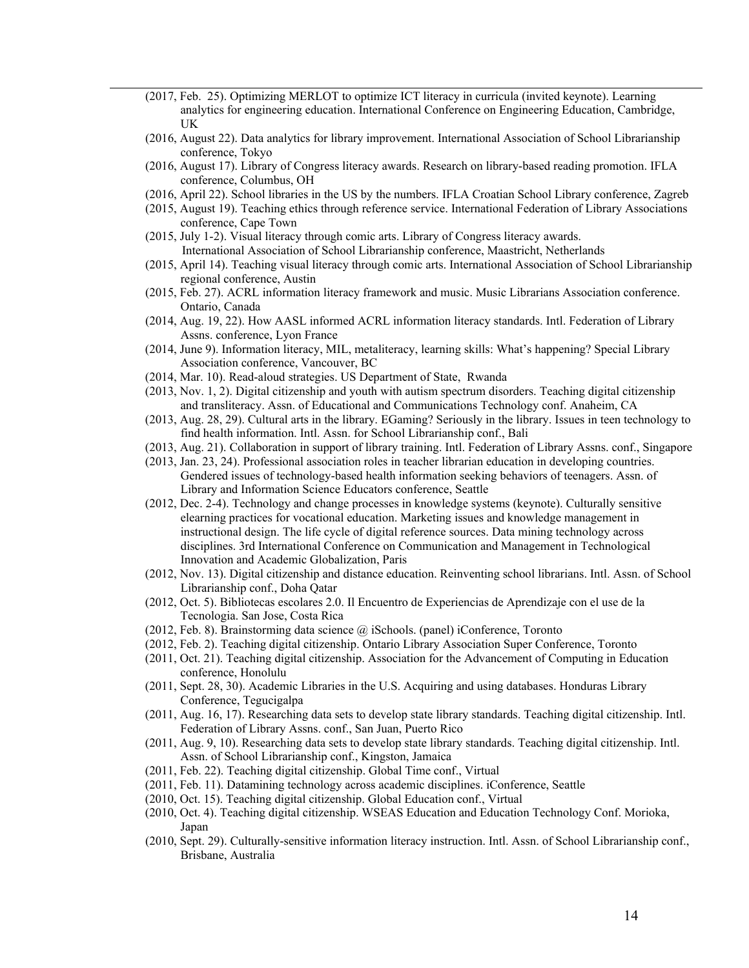- (2017, Feb. 25). Optimizing MERLOT to optimize ICT literacy in curricula (invited keynote). Learning analytics for engineering education. International Conference on Engineering Education, Cambridge, UK
- (2016, August 22). Data analytics for library improvement. International Association of School Librarianship conference, Tokyo
- (2016, August 17). Library of Congress literacy awards. Research on library-based reading promotion. IFLA conference, Columbus, OH
- (2016, April 22). School libraries in the US by the numbers. IFLA Croatian School Library conference, Zagreb
- (2015, August 19). Teaching ethics through reference service. International Federation of Library Associations conference, Cape Town
- (2015, July 1-2). Visual literacy through comic arts. Library of Congress literacy awards. International Association of School Librarianship conference, Maastricht, Netherlands
- (2015, April 14). Teaching visual literacy through comic arts. International Association of School Librarianship regional conference, Austin
- (2015, Feb. 27). ACRL information literacy framework and music. Music Librarians Association conference. Ontario, Canada
- (2014, Aug. 19, 22). How AASL informed ACRL information literacy standards. Intl. Federation of Library Assns. conference, Lyon France
- (2014, June 9). Information literacy, MIL, metaliteracy, learning skills: What's happening? Special Library Association conference, Vancouver, BC
- (2014, Mar. 10). Read-aloud strategies. US Department of State, Rwanda
- (2013, Nov. 1, 2). Digital citizenship and youth with autism spectrum disorders. Teaching digital citizenship and transliteracy. Assn. of Educational and Communications Technology conf. Anaheim, CA
- (2013, Aug. 28, 29). Cultural arts in the library. EGaming? Seriously in the library. Issues in teen technology to find health information. Intl. Assn. for School Librarianship conf., Bali
- (2013, Aug. 21). Collaboration in support of library training. Intl. Federation of Library Assns. conf., Singapore
- (2013, Jan. 23, 24). Professional association roles in teacher librarian education in developing countries. Gendered issues of technology-based health information seeking behaviors of teenagers. Assn. of Library and Information Science Educators conference, Seattle
- (2012, Dec. 2-4). Technology and change processes in knowledge systems (keynote). Culturally sensitive elearning practices for vocational education. Marketing issues and knowledge management in instructional design. The life cycle of digital reference sources. Data mining technology across disciplines. 3rd International Conference on Communication and Management in Technological Innovation and Academic Globalization, Paris
- (2012, Nov. 13). Digital citizenship and distance education. Reinventing school librarians. Intl. Assn. of School Librarianship conf., Doha Qatar
- (2012, Oct. 5). Bibliotecas escolares 2.0. Il Encuentro de Experiencias de Aprendizaje con el use de la Tecnologia. San Jose, Costa Rica
- (2012, Feb. 8). Brainstorming data science @ iSchools. (panel) iConference, Toronto
- (2012, Feb. 2). Teaching digital citizenship. Ontario Library Association Super Conference, Toronto
- (2011, Oct. 21). Teaching digital citizenship. Association for the Advancement of Computing in Education conference, Honolulu
- (2011, Sept. 28, 30). Academic Libraries in the U.S. Acquiring and using databases. Honduras Library Conference, Tegucigalpa
- (2011, Aug. 16, 17). Researching data sets to develop state library standards. Teaching digital citizenship. Intl. Federation of Library Assns. conf., San Juan, Puerto Rico
- (2011, Aug. 9, 10). Researching data sets to develop state library standards. Teaching digital citizenship. Intl. Assn. of School Librarianship conf., Kingston, Jamaica
- (2011, Feb. 22). Teaching digital citizenship. Global Time conf., Virtual
- (2011, Feb. 11). Datamining technology across academic disciplines. iConference, Seattle
- (2010, Oct. 15). Teaching digital citizenship. Global Education conf., Virtual
- (2010, Oct. 4). Teaching digital citizenship. WSEAS Education and Education Technology Conf. Morioka, Japan
- (2010, Sept. 29). Culturally-sensitive information literacy instruction. Intl. Assn. of School Librarianship conf., Brisbane, Australia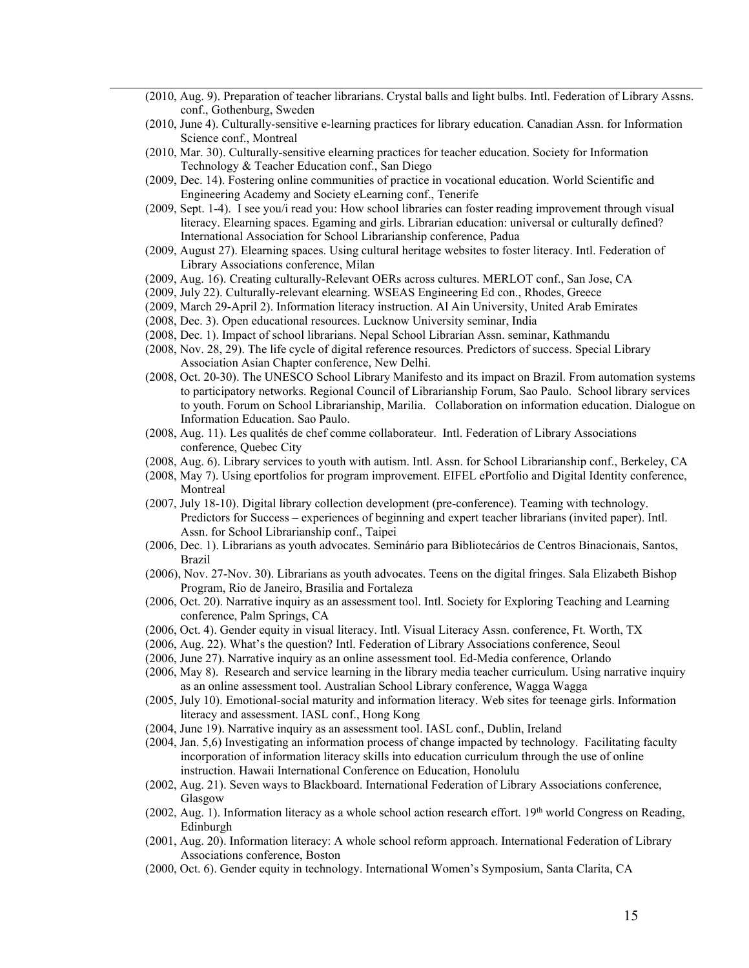- (2010, Aug. 9). Preparation of teacher librarians. Crystal balls and light bulbs. Intl. Federation of Library Assns. conf., Gothenburg, Sweden
- (2010, June 4). Culturally-sensitive e-learning practices for library education. Canadian Assn. for Information Science conf., Montreal
- (2010, Mar. 30). Culturally-sensitive elearning practices for teacher education. Society for Information Technology & Teacher Education conf., San Diego
- (2009, Dec. 14). Fostering online communities of practice in vocational education. World Scientific and Engineering Academy and Society eLearning conf., Tenerife
- (2009, Sept. 1-4). I see you/i read you: How school libraries can foster reading improvement through visual literacy. Elearning spaces. Egaming and girls. Librarian education: universal or culturally defined? International Association for School Librarianship conference, Padua
- (2009, August 27). Elearning spaces. Using cultural heritage websites to foster literacy. Intl. Federation of Library Associations conference, Milan
- (2009, Aug. 16). Creating culturally-Relevant OERs across cultures. MERLOT conf., San Jose, CA
- (2009, July 22). Culturally-relevant elearning. WSEAS Engineering Ed con., Rhodes, Greece
- (2009, March 29-April 2). Information literacy instruction. Al Ain University, United Arab Emirates
- (2008, Dec. 3). Open educational resources. Lucknow University seminar, India
- (2008, Dec. 1). Impact of school librarians. Nepal School Librarian Assn. seminar, Kathmandu
- (2008, Nov. 28, 29). The life cycle of digital reference resources. Predictors of success. Special Library Association Asian Chapter conference, New Delhi.
- (2008, Oct. 20-30). The UNESCO School Library Manifesto and its impact on Brazil. From automation systems to participatory networks. Regional Council of Librarianship Forum, Sao Paulo. School library services to youth. Forum on School Librarianship, Marilia. Collaboration on information education. Dialogue on Information Education. Sao Paulo.
- (2008, Aug. 11). Les qualités de chef comme collaborateur. Intl. Federation of Library Associations conference, Quebec City
- (2008, Aug. 6). Library services to youth with autism. Intl. Assn. for School Librarianship conf., Berkeley, CA
- (2008, May 7). Using eportfolios for program improvement. EIFEL ePortfolio and Digital Identity conference, Montreal
- (2007, July 18-10). Digital library collection development (pre-conference). Teaming with technology. Predictors for Success – experiences of beginning and expert teacher librarians (invited paper). Intl. Assn. for School Librarianship conf., Taipei
- (2006, Dec. 1). Librarians as youth advocates[. Seminário para Bibliotecários de Centros Binacionais,](http://www.ccbeunet.br/biblioteca/Semin%E1rio%202006/Programa.html) Santos, Brazil
- (2006), Nov. 27-Nov. 30). Librarians as youth advocates. Teens on the digital fringes. Sala Elizabeth Bishop Program, Rio de Janeiro, Brasilia and Fortaleza
- (2006, Oct. 20). Narrative inquiry as an assessment tool. Intl. Society for Exploring Teaching and Learning conference, Palm Springs, CA
- (2006, Oct. 4). Gender equity in visual literacy. Intl. Visual Literacy Assn. conference, Ft. Worth, TX
- (2006, Aug. 22). What's the question? Intl. Federation of Library Associations conference, Seoul
- (2006, June 27). Narrative inquiry as an online assessment tool. Ed-Media conference, Orlando
- (2006, May 8). Research and service learning in the library media teacher curriculum. Using narrative inquiry as an online assessment tool. Australian School Library conference, Wagga Wagga
- (2005, July 10). Emotional-social maturity and information literacy. Web sites for teenage girls. Information literacy and assessment. IASL conf., Hong Kong
- (2004, June 19). Narrative inquiry as an assessment tool. IASL conf., Dublin, Ireland
- (2004, Jan. 5,6) Investigating an information process of change impacted by technology. Facilitating faculty incorporation of information literacy skills into education curriculum through the use of online instruction. Hawaii International Conference on Education, Honolulu
- (2002, Aug. 21). Seven ways to Blackboard. International Federation of Library Associations conference, Glasgow
- (2002, Aug. 1). Information literacy as a whole school action research effort.  $19<sup>th</sup>$  world Congress on Reading, Edinburgh
- (2001, Aug. 20). Information literacy: A whole school reform approach. International Federation of Library Associations conference, Boston
- (2000, Oct. 6). Gender equity in technology. International Women's Symposium, Santa Clarita, CA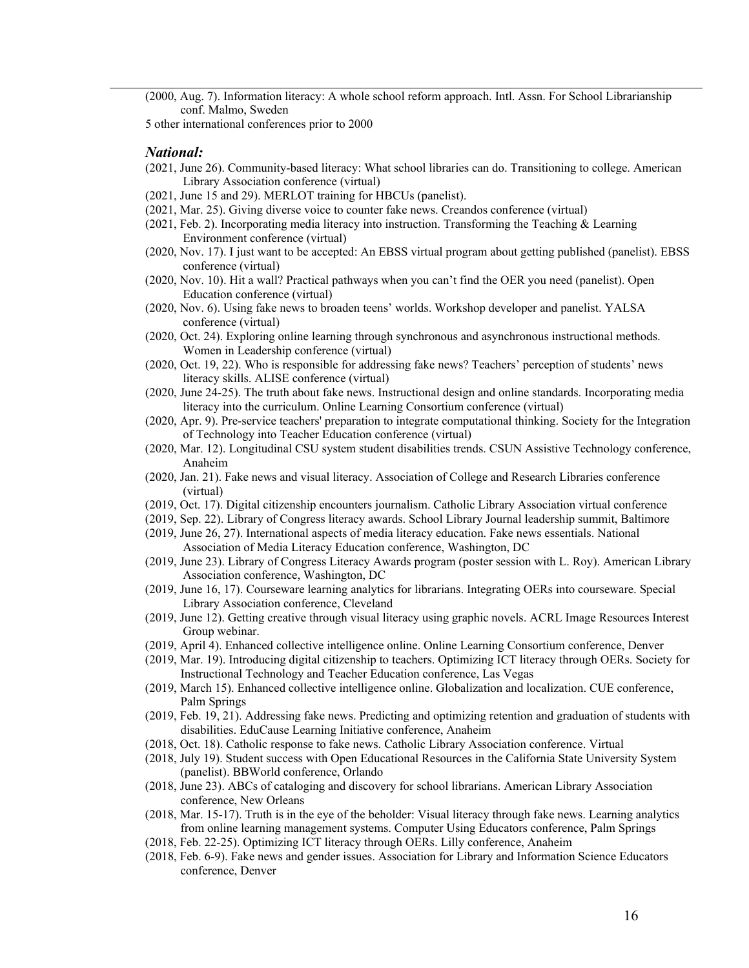(2000, Aug. 7). Information literacy: A whole school reform approach. Intl. Assn. For School Librarianship conf. Malmo, Sweden

5 other international conferences prior to 2000

#### *National:*

- (2021, June 26). Community-based literacy: What school libraries can do. Transitioning to college. American Library Association conference (virtual)
- (2021, June 15 and 29). MERLOT training for HBCUs (panelist).
- (2021, Mar. 25). Giving diverse voice to counter fake news. Creandos conference (virtual)
- (2021, Feb. 2). Incorporating media literacy into instruction. Transforming the Teaching & Learning Environment conference (virtual)
- (2020, Nov. 17). I just want to be accepted: An EBSS virtual program about getting published (panelist). EBSS conference (virtual)
- (2020, Nov. 10). Hit a wall? Practical pathways when you can't find the OER you need (panelist). Open Education conference (virtual)
- (2020, Nov. 6). Using fake news to broaden teens' worlds. Workshop developer and panelist. YALSA conference (virtual)
- (2020, Oct. 24). Exploring online learning through synchronous and asynchronous instructional methods. Women in Leadership conference (virtual)
- (2020, Oct. 19, 22). Who is responsible for addressing fake news? Teachers' perception of students' news literacy skills. ALISE conference (virtual)
- (2020, June 24-25). The truth about fake news. Instructional design and online standards. Incorporating media literacy into the curriculum. Online Learning Consortium conference (virtual)
- (2020, Apr. 9). Pre-service teachers' preparation to integrate computational thinking. Society for the Integration of Technology into Teacher Education conference (virtual)
- (2020, Mar. 12). Longitudinal CSU system student disabilities trends. CSUN Assistive Technology conference, Anaheim
- (2020, Jan. 21). Fake news and visual literacy. Association of College and Research Libraries conference (virtual)
- (2019, Oct. 17). Digital citizenship encounters journalism. Catholic Library Association virtual conference
- (2019, Sep. 22). Library of Congress literacy awards. School Library Journal leadership summit, Baltimore
- (2019, June 26, 27). International aspects of media literacy education. Fake news essentials. National Association of Media Literacy Education conference, Washington, DC
- (2019, June 23). Library of Congress Literacy Awards program (poster session with L. Roy). American Library Association conference, Washington, DC
- (2019, June 16, 17). Courseware learning analytics for librarians. Integrating OERs into courseware. Special Library Association conference, Cleveland
- (2019, June 12). Getting creative through visual literacy using graphic novels. ACRL Image Resources Interest Group webinar.
- (2019, April 4). Enhanced collective intelligence online. Online Learning Consortium conference, Denver
- (2019, Mar. 19). Introducing digital citizenship to teachers. Optimizing ICT literacy through OERs. Society for Instructional Technology and Teacher Education conference, Las Vegas
- (2019, March 15). Enhanced collective intelligence online. Globalization and localization. CUE conference, Palm Springs
- (2019, Feb. 19, 21). Addressing fake news. Predicting and optimizing retention and graduation of students with disabilities. EduCause Learning Initiative conference, Anaheim
- (2018, Oct. 18). Catholic response to fake news. Catholic Library Association conference. Virtual
- (2018, July 19). Student success with Open Educational Resources in the California State University System (panelist). BBWorld conference, Orlando
- (2018, June 23). ABCs of cataloging and discovery for school librarians. American Library Association conference, New Orleans
- (2018, Mar. 15-17). Truth is in the eye of the beholder: Visual literacy through fake news. Learning analytics from online learning management systems. Computer Using Educators conference, Palm Springs
- (2018, Feb. 22-25). Optimizing ICT literacy through OERs. Lilly conference, Anaheim
- (2018, Feb. 6-9). Fake news and gender issues. Association for Library and Information Science Educators conference, Denver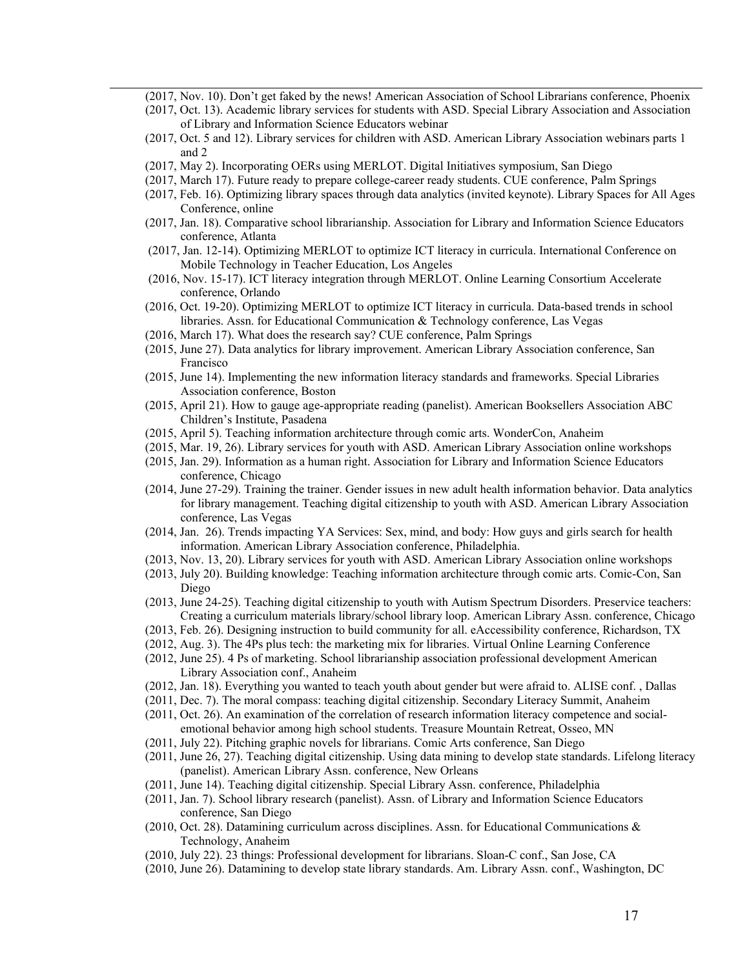- (2017, Nov. 10). Don't get faked by the news! American Association of School Librarians conference, Phoenix
- (2017, Oct. 13). Academic library services for students with ASD. Special Library Association and Association of Library and Information Science Educators webinar
- (2017, Oct. 5 and 12). Library services for children with ASD. American Library Association webinars parts 1 and 2
- (2017, May 2). Incorporating OERs using MERLOT. Digital Initiatives symposium, San Diego
- (2017, March 17). Future ready to prepare college-career ready students. CUE conference, Palm Springs
- (2017, Feb. 16). Optimizing library spaces through data analytics (invited keynote). Library Spaces for All Ages Conference, online
- (2017, Jan. 18). Comparative school librarianship. Association for Library and Information Science Educators conference, Atlanta
- (2017, Jan. 12-14). Optimizing MERLOT to optimize ICT literacy in curricula. International Conference on Mobile Technology in Teacher Education, Los Angeles
- (2016, Nov. 15-17). ICT literacy integration through MERLOT. Online Learning Consortium Accelerate conference, Orlando
- (2016, Oct. 19-20). Optimizing MERLOT to optimize ICT literacy in curricula. Data-based trends in school libraries. Assn. for Educational Communication & Technology conference, Las Vegas
- (2016, March 17). What does the research say? CUE conference, Palm Springs
- (2015, June 27). Data analytics for library improvement. American Library Association conference, San Francisco
- (2015, June 14). Implementing the new information literacy standards and frameworks. Special Libraries Association conference, Boston
- (2015, April 21). How to gauge age-appropriate reading (panelist). American Booksellers Association ABC Children's Institute, Pasadena
- (2015, April 5). Teaching information architecture through comic arts. WonderCon, Anaheim
- (2015, Mar. 19, 26). Library services for youth with ASD. American Library Association online workshops
- (2015, Jan. 29). Information as a human right. Association for Library and Information Science Educators conference, Chicago
- (2014, June 27-29). Training the trainer. Gender issues in new adult health information behavior. Data analytics for library management. Teaching digital citizenship to youth with ASD. American Library Association conference, Las Vegas
- (2014, Jan. 26). Trends impacting YA Services: Sex, mind, and body: How guys and girls search for health information. American Library Association conference, Philadelphia.
- (2013, Nov. 13, 20). Library services for youth with ASD. American Library Association online workshops
- (2013, July 20). Building knowledge: Teaching information architecture through comic arts. Comic-Con, San Diego
- (2013, June 24-25). Teaching digital citizenship to youth with Autism Spectrum Disorders. Preservice teachers: Creating a curriculum materials library/school library loop. American Library Assn. conference, Chicago
- (2013, Feb. 26). Designing instruction to build community for all. eAccessibility conference, Richardson, TX
- (2012, Aug. 3). The 4Ps plus tech: the marketing mix for libraries. Virtual Online Learning Conference
- (2012, June 25). 4 Ps of marketing. School librarianship association professional development American Library Association conf., Anaheim
- (2012, Jan. 18). Everything you wanted to teach youth about gender but were afraid to. ALISE conf. , Dallas
- (2011, Dec. 7). The moral compass: teaching digital citizenship. Secondary Literacy Summit, Anaheim
- (2011, Oct. 26). An examination of the correlation of research information literacy competence and socialemotional behavior among high school students. Treasure Mountain Retreat, Osseo, MN
- (2011, July 22). Pitching graphic novels for librarians. Comic Arts conference, San Diego
- (2011, June 26, 27). Teaching digital citizenship. Using data mining to develop state standards. Lifelong literacy (panelist). American Library Assn. conference, New Orleans
- (2011, June 14). Teaching digital citizenship. Special Library Assn. conference, Philadelphia
- (2011, Jan. 7). School library research (panelist). Assn. of Library and Information Science Educators conference, San Diego
- (2010, Oct. 28). Datamining curriculum across disciplines. Assn. for Educational Communications & Technology, Anaheim
- (2010, July 22). 23 things: Professional development for librarians. Sloan-C conf., San Jose, CA
- (2010, June 26). Datamining to develop state library standards. Am. Library Assn. conf., Washington, DC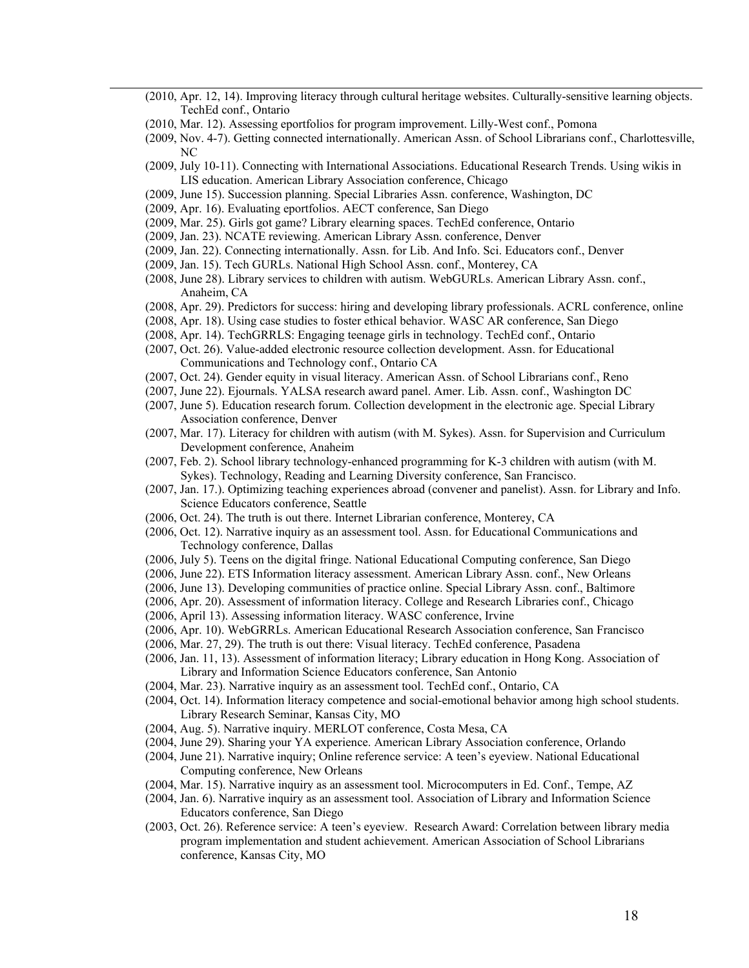- (2010, Apr. 12, 14). Improving literacy through cultural heritage websites. Culturally-sensitive learning objects. TechEd conf., Ontario
- (2010, Mar. 12). Assessing eportfolios for program improvement. Lilly-West conf., Pomona
- (2009, Nov. 4-7). Getting connected internationally. American Assn. of School Librarians conf., Charlottesville, NC
- (2009, July 10-11). Connecting with International Associations. Educational Research Trends. Using wikis in LIS education. American Library Association conference, Chicago
- (2009, June 15). Succession planning. Special Libraries Assn. conference, Washington, DC
- (2009, Apr. 16). Evaluating eportfolios. AECT conference, San Diego
- (2009, Mar. 25). Girls got game? Library elearning spaces. TechEd conference, Ontario
- (2009, Jan. 23). NCATE reviewing. American Library Assn. conference, Denver
- (2009, Jan. 22). Connecting internationally. Assn. for Lib. And Info. Sci. Educators conf., Denver
- (2009, Jan. 15). Tech GURLs. National High School Assn. conf., Monterey, CA
- (2008, June 28). Library services to children with autism. WebGURLs. American Library Assn. conf., Anaheim, CA
- (2008, Apr. 29). Predictors for success: hiring and developing library professionals. ACRL conference, online
- (2008, Apr. 18). Using case studies to foster ethical behavior. WASC AR conference, San Diego
- (2008, Apr. 14). TechGRRLS: Engaging teenage girls in technology. TechEd conf., Ontario
- (2007, Oct. 26). Value-added electronic resource collection development. Assn. for Educational Communications and Technology conf., Ontario CA
- (2007, Oct. 24). Gender equity in visual literacy. American Assn. of School Librarians conf., Reno
- (2007, June 22). Ejournals. YALSA research award panel. Amer. Lib. Assn. conf., Washington DC
- (2007, June 5). Education research forum. Collection development in the electronic age. Special Library Association conference, Denver
- (2007, Mar. 17). Literacy for children with autism (with M. Sykes). Assn. for Supervision and Curriculum Development conference, Anaheim
- (2007, Feb. 2). School library technology-enhanced programming for K-3 children with autism (with M. Sykes). Technology, Reading and Learning Diversity conference, San Francisco.
- (2007, Jan. 17.). Optimizing teaching experiences abroad (convener and panelist). Assn. for Library and Info. Science Educators conference, Seattle
- (2006, Oct. 24). The truth is out there. Internet Librarian conference, Monterey, CA
- (2006, Oct. 12). Narrative inquiry as an assessment tool. Assn. for Educational Communications and Technology conference, Dallas
- (2006, July 5). Teens on the digital fringe. National Educational Computing conference, San Diego
- (2006, June 22). ETS Information literacy assessment. American Library Assn. conf., New Orleans
- (2006, June 13). Developing communities of practice online. Special Library Assn. conf., Baltimore
- (2006, Apr. 20). Assessment of information literacy. College and Research Libraries conf., Chicago
- (2006, April 13). Assessing information literacy. WASC conference, Irvine
- (2006, Apr. 10). WebGRRLs. American Educational Research Association conference, San Francisco
- (2006, Mar. 27, 29). The truth is out there: Visual literacy. TechEd conference, Pasadena
- (2006, Jan. 11, 13). Assessment of information literacy; Library education in Hong Kong. Association of Library and Information Science Educators conference, San Antonio
- (2004, Mar. 23). Narrative inquiry as an assessment tool. TechEd conf., Ontario, CA
- (2004, Oct. 14). Information literacy competence and social-emotional behavior among high school students. Library Research Seminar, Kansas City, MO
- (2004, Aug. 5). Narrative inquiry. MERLOT conference, Costa Mesa, CA
- (2004, June 29). Sharing your YA experience. American Library Association conference, Orlando
- (2004, June 21). Narrative inquiry; Online reference service: A teen's eyeview. National Educational Computing conference, New Orleans
- (2004, Mar. 15). Narrative inquiry as an assessment tool. Microcomputers in Ed. Conf., Tempe, AZ
- (2004, Jan. 6). Narrative inquiry as an assessment tool. Association of Library and Information Science Educators conference, San Diego
- (2003, Oct. 26). Reference service: A teen's eyeview. Research Award: Correlation between library media program implementation and student achievement. American Association of School Librarians conference, Kansas City, MO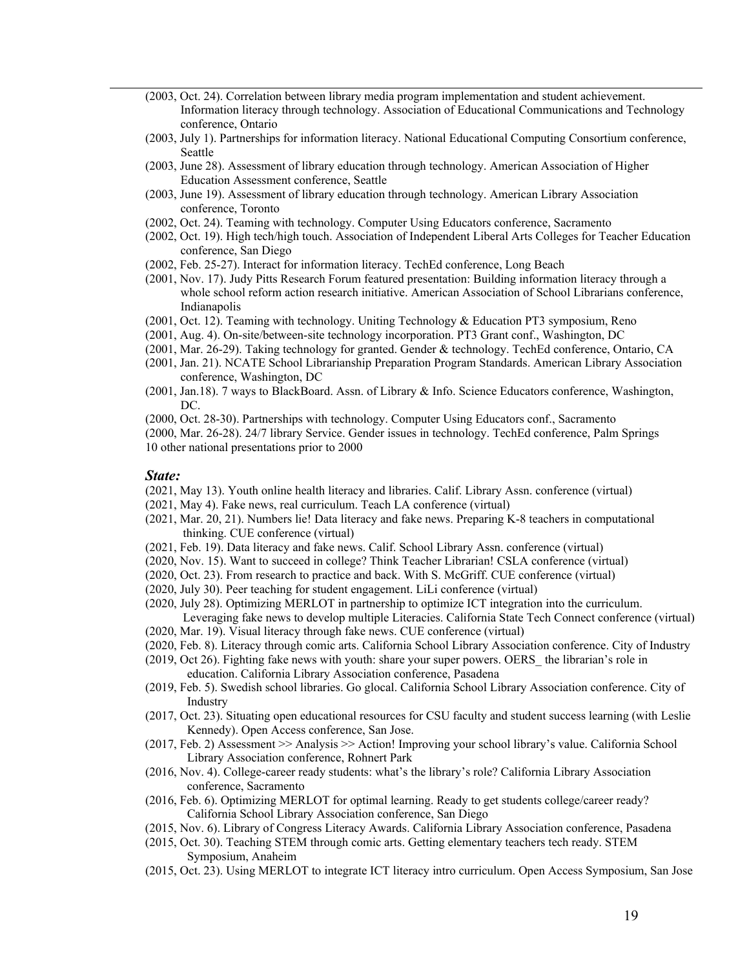- (2003, Oct. 24). Correlation between library media program implementation and student achievement. Information literacy through technology. Association of Educational Communications and Technology conference, Ontario
- (2003, July 1). Partnerships for information literacy. National Educational Computing Consortium conference, Seattle
- (2003, June 28). Assessment of library education through technology. American Association of Higher Education Assessment conference, Seattle
- (2003, June 19). Assessment of library education through technology. American Library Association conference, Toronto
- (2002, Oct. 24). Teaming with technology. Computer Using Educators conference, Sacramento
- (2002, Oct. 19). High tech/high touch. Association of Independent Liberal Arts Colleges for Teacher Education conference, San Diego
- (2002, Feb. 25-27). Interact for information literacy. TechEd conference, Long Beach
- (2001, Nov. 17). Judy Pitts Research Forum featured presentation: Building information literacy through a whole school reform action research initiative. American Association of School Librarians conference, Indianapolis
- (2001, Oct. 12). Teaming with technology. Uniting Technology & Education PT3 symposium, Reno
- (2001, Aug. 4). On-site/between-site technology incorporation. PT3 Grant conf., Washington, DC
- (2001, Mar. 26-29). Taking technology for granted. Gender & technology. TechEd conference, Ontario, CA
- (2001, Jan. 21). NCATE School Librarianship Preparation Program Standards. American Library Association conference, Washington, DC
- (2001, Jan.18). 7 ways to BlackBoard. Assn. of Library & Info. Science Educators conference, Washington, DC.
- (2000, Oct. 28-30). Partnerships with technology. Computer Using Educators conf., Sacramento

(2000, Mar. 26-28). 24/7 library Service. Gender issues in technology. TechEd conference, Palm Springs 10 other national presentations prior to 2000

#### *State:*

- (2021, May 13). Youth online health literacy and libraries. Calif. Library Assn. conference (virtual)
- (2021, May 4). Fake news, real curriculum. Teach LA conference (virtual)
- (2021, Mar. 20, 21). Numbers lie! Data literacy and fake news. Preparing K-8 teachers in computational thinking. CUE conference (virtual)
- (2021, Feb. 19). Data literacy and fake news. Calif. School Library Assn. conference (virtual)
- (2020, Nov. 15). Want to succeed in college? Think Teacher Librarian! CSLA conference (virtual)
- (2020, Oct. 23). From research to practice and back. With S. McGriff. CUE conference (virtual)
- (2020, July 30). Peer teaching for student engagement. LiLi conference (virtual)
- (2020, July 28). Optimizing MERLOT in partnership to optimize ICT integration into the curriculum. Leveraging fake news to develop multiple Literacies. California State Tech Connect conference (virtual)
- (2020, Mar. 19). Visual literacy through fake news. CUE conference (virtual)
- (2020, Feb. 8). Literacy through comic arts. California School Library Association conference. City of Industry
- (2019, Oct 26). Fighting fake news with youth: share your super powers. OERS\_ the librarian's role in
	- education. California Library Association conference, Pasadena
- (2019, Feb. 5). Swedish school libraries. Go glocal. California School Library Association conference. City of Industry
- (2017, Oct. 23). Situating open educational resources for CSU faculty and student success learning (with Leslie Kennedy). Open Access conference, San Jose.
- (2017, Feb. 2) Assessment >> Analysis >> Action! Improving your school library's value. California School Library Association conference, Rohnert Park
- (2016, Nov. 4). College-career ready students: what's the library's role? California Library Association conference, Sacramento
- (2016, Feb. 6). Optimizing MERLOT for optimal learning. Ready to get students college/career ready? California School Library Association conference, San Diego
- (2015, Nov. 6). Library of Congress Literacy Awards. California Library Association conference, Pasadena
- (2015, Oct. 30). Teaching STEM through comic arts. Getting elementary teachers tech ready. STEM Symposium, Anaheim
- (2015, Oct. 23). Using MERLOT to integrate ICT literacy intro curriculum. Open Access Symposium, San Jose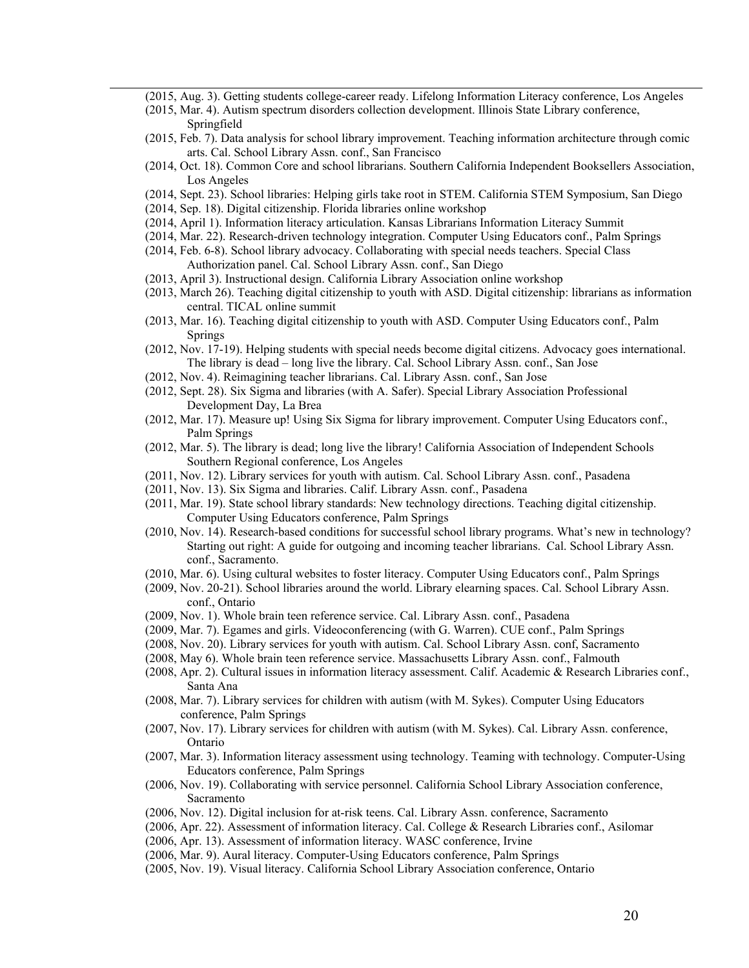- (2015, Aug. 3). Getting students college-career ready. Lifelong Information Literacy conference, Los Angeles
- (2015, Mar. 4). Autism spectrum disorders collection development. Illinois State Library conference, Springfield
- (2015, Feb. 7). Data analysis for school library improvement. Teaching information architecture through comic arts. Cal. School Library Assn. conf., San Francisco
- (2014, Oct. 18). Common Core and school librarians. Southern California Independent Booksellers Association, Los Angeles
- (2014, Sept. 23). School libraries: Helping girls take root in STEM. California STEM Symposium, San Diego
- (2014, Sep. 18). Digital citizenship. Florida libraries online workshop
- (2014, April 1). Information literacy articulation. Kansas Librarians Information Literacy Summit
- (2014, Mar. 22). Research-driven technology integration. Computer Using Educators conf., Palm Springs
- (2014, Feb. 6-8). School library advocacy. Collaborating with special needs teachers. Special Class Authorization panel. Cal. School Library Assn. conf., San Diego
- (2013, April 3). Instructional design. California Library Association online workshop
- (2013, March 26). Teaching digital citizenship to youth with ASD. Digital citizenship: librarians as information central. TICAL online summit
- (2013, Mar. 16). Teaching digital citizenship to youth with ASD. Computer Using Educators conf., Palm Springs
- (2012, Nov. 17-19). Helping students with special needs become digital citizens. Advocacy goes international. The library is dead – long live the library. Cal. School Library Assn. conf., San Jose
- (2012, Nov. 4). Reimagining teacher librarians. Cal. Library Assn. conf., San Jose
- (2012, Sept. 28). Six Sigma and libraries (with A. Safer). Special Library Association Professional Development Day, La Brea
- (2012, Mar. 17). Measure up! Using Six Sigma for library improvement. Computer Using Educators conf., Palm Springs
- (2012, Mar. 5). The library is dead; long live the library! California Association of Independent Schools Southern Regional conference, Los Angeles
- (2011, Nov. 12). Library services for youth with autism. Cal. School Library Assn. conf., Pasadena
- (2011, Nov. 13). Six Sigma and libraries. Calif. Library Assn. conf., Pasadena
- (2011, Mar. 19). State school library standards: New technology directions. Teaching digital citizenship. Computer Using Educators conference, Palm Springs
- (2010, Nov. 14). Research-based conditions for successful school library programs. What's new in technology? Starting out right: A guide for outgoing and incoming teacher librarians. Cal. School Library Assn. conf., Sacramento.
- (2010, Mar. 6). Using cultural websites to foster literacy. Computer Using Educators conf., Palm Springs
- (2009, Nov. 20-21). School libraries around the world. Library elearning spaces. Cal. School Library Assn. conf., Ontario
- (2009, Nov. 1). Whole brain teen reference service. Cal. Library Assn. conf., Pasadena
- (2009, Mar. 7). Egames and girls. Videoconferencing (with G. Warren). CUE conf., Palm Springs
- (2008, Nov. 20). Library services for youth with autism. Cal. School Library Assn. conf, Sacramento
- (2008, May 6). Whole brain teen reference service. Massachusetts Library Assn. conf., Falmouth
- (2008, Apr. 2). Cultural issues in information literacy assessment. Calif. Academic & Research Libraries conf., Santa Ana
- (2008, Mar. 7). Library services for children with autism (with M. Sykes). Computer Using Educators conference, Palm Springs
- (2007, Nov. 17). Library services for children with autism (with M. Sykes). Cal. Library Assn. conference, Ontario
- (2007, Mar. 3). Information literacy assessment using technology. Teaming with technology. Computer-Using Educators conference, Palm Springs
- (2006, Nov. 19). Collaborating with service personnel. California School Library Association conference, Sacramento
- (2006, Nov. 12). Digital inclusion for at-risk teens. Cal. Library Assn. conference, Sacramento
- (2006, Apr. 22). Assessment of information literacy. Cal. College & Research Libraries conf., Asilomar
- (2006, Apr. 13). Assessment of information literacy. WASC conference, Irvine
- (2006, Mar. 9). Aural literacy. Computer-Using Educators conference, Palm Springs
- (2005, Nov. 19). Visual literacy. California School Library Association conference, Ontario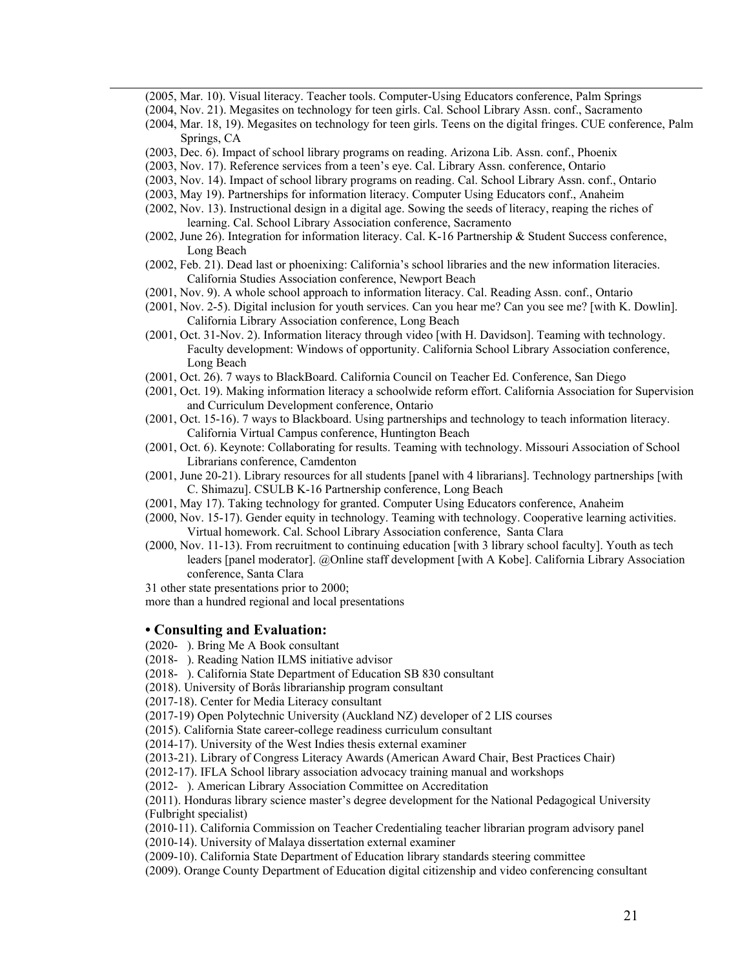- (2005, Mar. 10). Visual literacy. Teacher tools. Computer-Using Educators conference, Palm Springs
- (2004, Nov. 21). Megasites on technology for teen girls. Cal. School Library Assn. conf., Sacramento
- (2004, Mar. 18, 19). Megasites on technology for teen girls. Teens on the digital fringes. CUE conference, Palm Springs, CA
- (2003, Dec. 6). Impact of school library programs on reading. Arizona Lib. Assn. conf., Phoenix
- (2003, Nov. 17). Reference services from a teen's eye. Cal. Library Assn. conference, Ontario
- (2003, Nov. 14). Impact of school library programs on reading. Cal. School Library Assn. conf., Ontario
- (2003, May 19). Partnerships for information literacy. Computer Using Educators conf., Anaheim
- (2002, Nov. 13). Instructional design in a digital age. Sowing the seeds of literacy, reaping the riches of learning. Cal. School Library Association conference, Sacramento
- (2002, June 26). Integration for information literacy. Cal. K-16 Partnership & Student Success conference, Long Beach
- (2002, Feb. 21). Dead last or phoenixing: California's school libraries and the new information literacies. California Studies Association conference, Newport Beach
- (2001, Nov. 9). A whole school approach to information literacy. Cal. Reading Assn. conf., Ontario
- (2001, Nov. 2-5). Digital inclusion for youth services. Can you hear me? Can you see me? [with K. Dowlin]. California Library Association conference, Long Beach
- (2001, Oct. 31-Nov. 2). Information literacy through video [with H. Davidson]. Teaming with technology. Faculty development: Windows of opportunity. California School Library Association conference, Long Beach
- (2001, Oct. 26). 7 ways to BlackBoard. California Council on Teacher Ed. Conference, San Diego
- (2001, Oct. 19). Making information literacy a schoolwide reform effort. California Association for Supervision and Curriculum Development conference, Ontario
- (2001, Oct. 15-16). 7 ways to Blackboard. Using partnerships and technology to teach information literacy. California Virtual Campus conference, Huntington Beach
- (2001, Oct. 6). Keynote: Collaborating for results. Teaming with technology. Missouri Association of School Librarians conference, Camdenton
- (2001, June 20-21). Library resources for all students [panel with 4 librarians]. Technology partnerships [with C. Shimazu]. CSULB K-16 Partnership conference, Long Beach
- (2001, May 17). Taking technology for granted. Computer Using Educators conference, Anaheim
- (2000, Nov. 15-17). Gender equity in technology. Teaming with technology. Cooperative learning activities. Virtual homework. Cal. School Library Association conference, Santa Clara
- (2000, Nov. 11-13). From recruitment to continuing education [with 3 library school faculty]. Youth as tech leaders [panel moderator]. @Online staff development [with A Kobe]. California Library Association conference, Santa Clara

31 other state presentations prior to 2000;

more than a hundred regional and local presentations

#### **• Consulting and Evaluation:**

- (2020- ). Bring Me A Book consultant
- (2018- ). Reading Nation ILMS initiative advisor
- (2018- ). California State Department of Education SB 830 consultant

(2018). University of Borås librarianship program consultant

(2017-18). Center for Media Literacy consultant

(2017-19) Open Polytechnic University (Auckland NZ) developer of 2 LIS courses

(2015). California State career-college readiness curriculum consultant

(2014-17). University of the West Indies thesis external examiner

(2013-21). Library of Congress Literacy Awards (American Award Chair, Best Practices Chair)

(2012-17). IFLA School library association advocacy training manual and workshops

(2012- ). American Library Association Committee on Accreditation

(2011). Honduras library science master's degree development for the National Pedagogical University (Fulbright specialist)

(2010-11). California Commission on Teacher Credentialing teacher librarian program advisory panel (2010-14). University of Malaya dissertation external examiner

(2009-10). California State Department of Education library standards steering committee

(2009). Orange County Department of Education digital citizenship and video conferencing consultant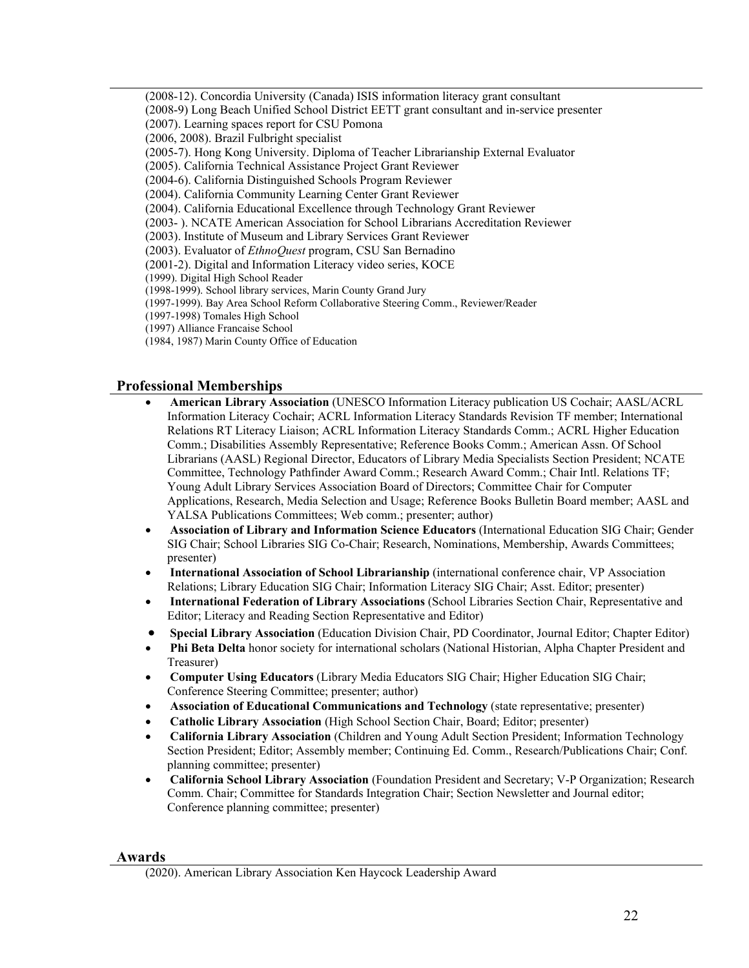(2008-12). Concordia University (Canada) ISIS information literacy grant consultant (2008-9) Long Beach Unified School District EETT grant consultant and in-service presenter (2007). Learning spaces report for CSU Pomona (2006, 2008). Brazil Fulbright specialist (2005-7). Hong Kong University. Diploma of Teacher Librarianship External Evaluator (2005). California Technical Assistance Project Grant Reviewer (2004-6). California Distinguished Schools Program Reviewer (2004). California Community Learning Center Grant Reviewer (2004). California Educational Excellence through Technology Grant Reviewer (2003- ). NCATE American Association for School Librarians Accreditation Reviewer (2003). Institute of Museum and Library Services Grant Reviewer (2003). Evaluator of *EthnoQuest* program, CSU San Bernadino (2001-2). Digital and Information Literacy video series, KOCE (1999). Digital High School Reader (1998-1999). School library services, Marin County Grand Jury (1997-1999). Bay Area School Reform Collaborative Steering Comm., Reviewer/Reader (1997-1998) Tomales High School

- (1997) Alliance Francaise School
- (1984, 1987) Marin County Office of Education

## **Professional Memberships**

- **American Library Association** (UNESCO Information Literacy publication US Cochair; AASL/ACRL Information Literacy Cochair; ACRL Information Literacy Standards Revision TF member; International Relations RT Literacy Liaison; ACRL Information Literacy Standards Comm.; ACRL Higher Education Comm.; Disabilities Assembly Representative; Reference Books Comm.; American Assn. Of School Librarians (AASL) Regional Director, Educators of Library Media Specialists Section President; NCATE Committee, Technology Pathfinder Award Comm.; Research Award Comm.; Chair Intl. Relations TF; Young Adult Library Services Association Board of Directors; Committee Chair for Computer Applications, Research, Media Selection and Usage; Reference Books Bulletin Board member; AASL and YALSA Publications Committees; Web comm.; presenter; author)
- **Association of Library and Information Science Educators** (International Education SIG Chair; Gender SIG Chair; School Libraries SIG Co-Chair; Research, Nominations, Membership, Awards Committees; presenter)
- **International Association of School Librarianship** (international conference chair, VP Association Relations; Library Education SIG Chair; Information Literacy SIG Chair; Asst. Editor; presenter)
- **International Federation of Library Associations** (School Libraries Section Chair, Representative and Editor; Literacy and Reading Section Representative and Editor)
- **Special Library Association** (Education Division Chair, PD Coordinator, Journal Editor; Chapter Editor)
- **Phi Beta Delta** honor society for international scholars (National Historian, Alpha Chapter President and Treasurer)
- **Computer Using Educators** (Library Media Educators SIG Chair; Higher Education SIG Chair; Conference Steering Committee; presenter; author)
- **Association of Educational Communications and Technology** (state representative; presenter)
- **Catholic Library Association** (High School Section Chair, Board; Editor; presenter)
- **California Library Association** (Children and Young Adult Section President; Information Technology Section President; Editor; Assembly member; Continuing Ed. Comm., Research/Publications Chair; Conf. planning committee; presenter)
- **California School Library Association** (Foundation President and Secretary; V-P Organization; Research Comm. Chair; Committee for Standards Integration Chair; Section Newsletter and Journal editor; Conference planning committee; presenter)

#### **Awards**